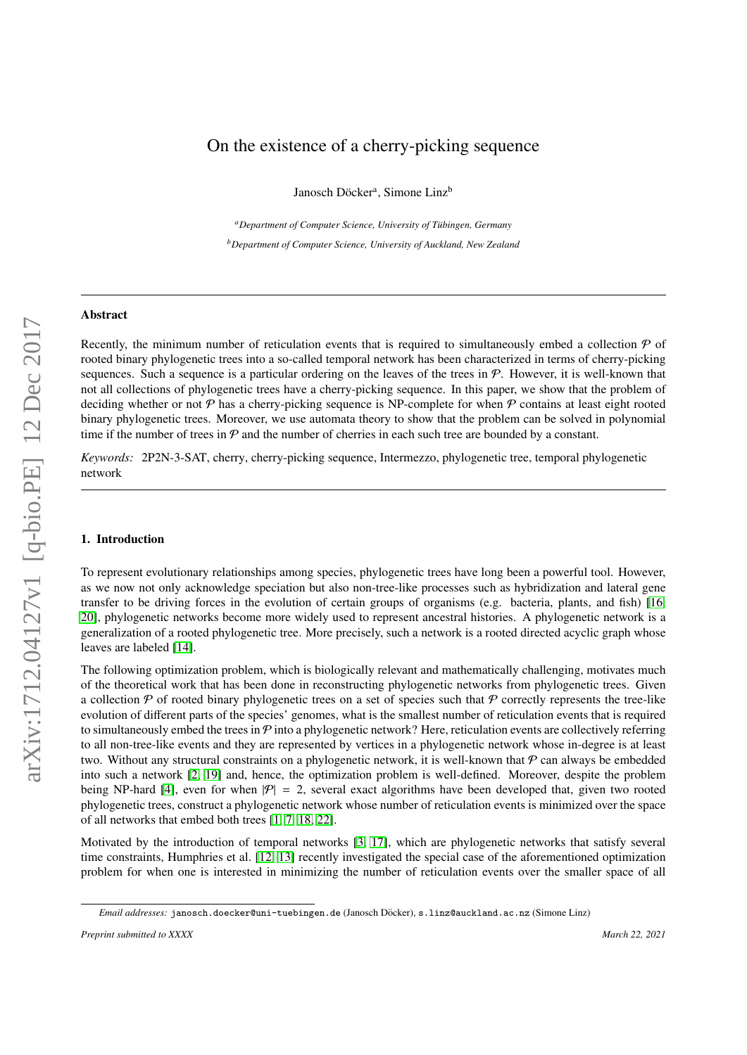# On the existence of a cherry-picking sequence

Janosch Döcker<sup>a</sup>, Simone Linz<sup>b</sup>

*<sup>a</sup>Department of Computer Science, University of T¨ubingen, Germany <sup>b</sup>Department of Computer Science, University of Auckland, New Zealand*

# Abstract

Recently, the minimum number of reticulation events that is required to simultaneously embed a collection  $\mathcal P$  of rooted binary phylogenetic trees into a so-called temporal network has been characterized in terms of cherry-picking sequences. Such a sequence is a particular ordering on the leaves of the trees in  $\mathcal{P}$ . However, it is well-known that not all collections of phylogenetic trees have a cherry-picking sequence. In this paper, we show that the problem of deciding whether or not  $P$  has a cherry-picking sequence is NP-complete for when  $P$  contains at least eight rooted binary phylogenetic trees. Moreover, we use automata theory to show that the problem can be solved in polynomial time if the number of trees in  $P$  and the number of cherries in each such tree are bounded by a constant.

*Keywords:* 2P2N-3-SAT, cherry, cherry-picking sequence, Intermezzo, phylogenetic tree, temporal phylogenetic network

## 1. Introduction

To represent evolutionary relationships among species, phylogenetic trees have long been a powerful tool. However, as we now not only acknowledge speciation but also non-tree-like processes such as hybridization and lateral gene transfer to be driving forces in the evolution of certain groups of organisms (e.g. bacteria, plants, and fish) [\[16,](#page-16-0) [20\]](#page-16-1), phylogenetic networks become more widely used to represent ancestral histories. A phylogenetic network is a generalization of a rooted phylogenetic tree. More precisely, such a network is a rooted directed acyclic graph whose leaves are labeled [\[14\]](#page-16-2).

The following optimization problem, which is biologically relevant and mathematically challenging, motivates much of the theoretical work that has been done in reconstructing phylogenetic networks from phylogenetic trees. Given a collection  $P$  of rooted binary phylogenetic trees on a set of species such that P correctly represents the tree-like evolution of different parts of the species' genomes, what is the smallest number of reticulation events that is required to simultaneously embed the trees in  $\mathcal P$  into a phylogenetic network? Here, reticulation events are collectively referring to all non-tree-like events and they are represented by vertices in a phylogenetic network whose in-degree is at least two. Without any structural constraints on a phylogenetic network, it is well-known that  $P$  can always be embedded into such a network [\[2,](#page-16-3) [19\]](#page-16-4) and, hence, the optimization problem is well-defined. Moreover, despite the problem being NP-hard [\[4\]](#page-16-5), even for when  $|\mathcal{P}| = 2$ , several exact algorithms have been developed that, given two rooted phylogenetic trees, construct a phylogenetic network whose number of reticulation events is minimized over the space of all networks that embed both trees [\[1,](#page-16-6) [7,](#page-16-7) [18,](#page-16-8) [22\]](#page-16-9).

Motivated by the introduction of temporal networks [\[3,](#page-16-10) [17\]](#page-16-11), which are phylogenetic networks that satisfy several time constraints, Humphries et al. [\[12,](#page-16-12) [13\]](#page-16-13) recently investigated the special case of the aforementioned optimization problem for when one is interested in minimizing the number of reticulation events over the smaller space of all

*Email addresses*: janosch.doecker@uni-tuebingen.de (Janosch Döcker), s.linz@auckland.ac.nz (Simone Linz)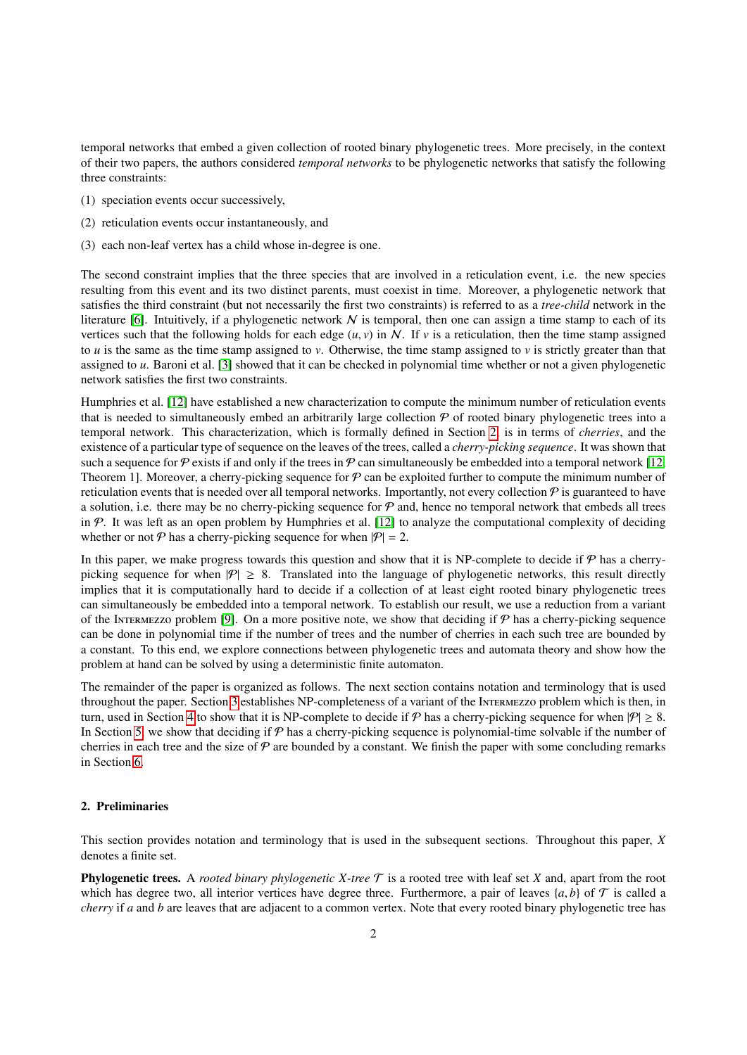temporal networks that embed a given collection of rooted binary phylogenetic trees. More precisely, in the context of their two papers, the authors considered *temporal networks* to be phylogenetic networks that satisfy the following three constraints:

- (1) speciation events occur successively,
- (2) reticulation events occur instantaneously, and
- (3) each non-leaf vertex has a child whose in-degree is one.

The second constraint implies that the three species that are involved in a reticulation event, i.e. the new species resulting from this event and its two distinct parents, must coexist in time. Moreover, a phylogenetic network that satisfies the third constraint (but not necessarily the first two constraints) is referred to as a *tree-child* network in the literature [\[6\]](#page-16-14). Intuitively, if a phylogenetic network  $N$  is temporal, then one can assign a time stamp to each of its vertices such that the following holds for each edge  $(u, v)$  in  $N$ . If  $v$  is a reticulation, then the time stamp assigned to  $u$  is the same as the time stamp assigned to  $v$ . Otherwise, the time stamp assigned to  $v$  is strictly greater than that assigned to *u*. Baroni et al. [\[3\]](#page-16-10) showed that it can be checked in polynomial time whether or not a given phylogenetic network satisfies the first two constraints.

Humphries et al. [\[12\]](#page-16-12) have established a new characterization to compute the minimum number of reticulation events that is needed to simultaneously embed an arbitrarily large collection  $P$  of rooted binary phylogenetic trees into a temporal network. This characterization, which is formally defined in Section [2,](#page-1-0) is in terms of *cherries*, and the existence of a particular type of sequence on the leaves of the trees, called a *cherry-picking sequence*. It was shown that such a sequence for P exists if and only if the trees in P can simultaneously be embedded into a temporal network [\[12,](#page-16-12) Theorem 1]. Moreover, a cherry-picking sequence for  $P$  can be exploited further to compute the minimum number of reticulation events that is needed over all temporal networks. Importantly, not every collection  $P$  is guaranteed to have a solution, i.e. there may be no cherry-picking sequence for  $P$  and, hence no temporal network that embeds all trees in  $P$ . It was left as an open problem by Humphries et al. [\[12\]](#page-16-12) to analyze the computational complexity of deciding whether or not  $P$  has a cherry-picking sequence for when  $|P| = 2$ .

In this paper, we make progress towards this question and show that it is NP-complete to decide if  $P$  has a cherrypicking sequence for when  $|\mathcal{P}| \geq 8$ . Translated into the language of phylogenetic networks, this result directly implies that it is computationally hard to decide if a collection of at least eight rooted binary phylogenetic trees can simultaneously be embedded into a temporal network. To establish our result, we use a reduction from a variant of the INTERMEZZO problem [\[9\]](#page-16-15). On a more positive note, we show that deciding if  $P$  has a cherry-picking sequence can be done in polynomial time if the number of trees and the number of cherries in each such tree are bounded by a constant. To this end, we explore connections between phylogenetic trees and automata theory and show how the problem at hand can be solved by using a deterministic finite automaton.

The remainder of the paper is organized as follows. The next section contains notation and terminology that is used throughout the paper. Section [3](#page-2-0) establishes NP-completeness of a variant of the Intermezzo problem which is then, in turn, used in Section [4](#page-5-0) to show that it is NP-complete to decide if  $\mathcal{P}$  has a cherry-picking sequence for when  $|\mathcal{P}| \geq 8$ . In Section [5,](#page-8-0) we show that deciding if  $P$  has a cherry-picking sequence is polynomial-time solvable if the number of cherries in each tree and the size of  $P$  are bounded by a constant. We finish the paper with some concluding remarks in Section [6.](#page-15-0)

# <span id="page-1-0"></span>2. Preliminaries

This section provides notation and terminology that is used in the subsequent sections. Throughout this paper, *X* denotes a finite set.

**Phylogenetic trees.** A *rooted binary phylogenetic X-tree*  $\mathcal{T}$  is a rooted tree with leaf set *X* and, apart from the root which has degree two, all interior vertices have degree three. Furthermore, a pair of leaves  $\{a, b\}$  of  $\mathcal T$  is called a *cherry* if *a* and *b* are leaves that are adjacent to a common vertex. Note that every rooted binary phylogenetic tree has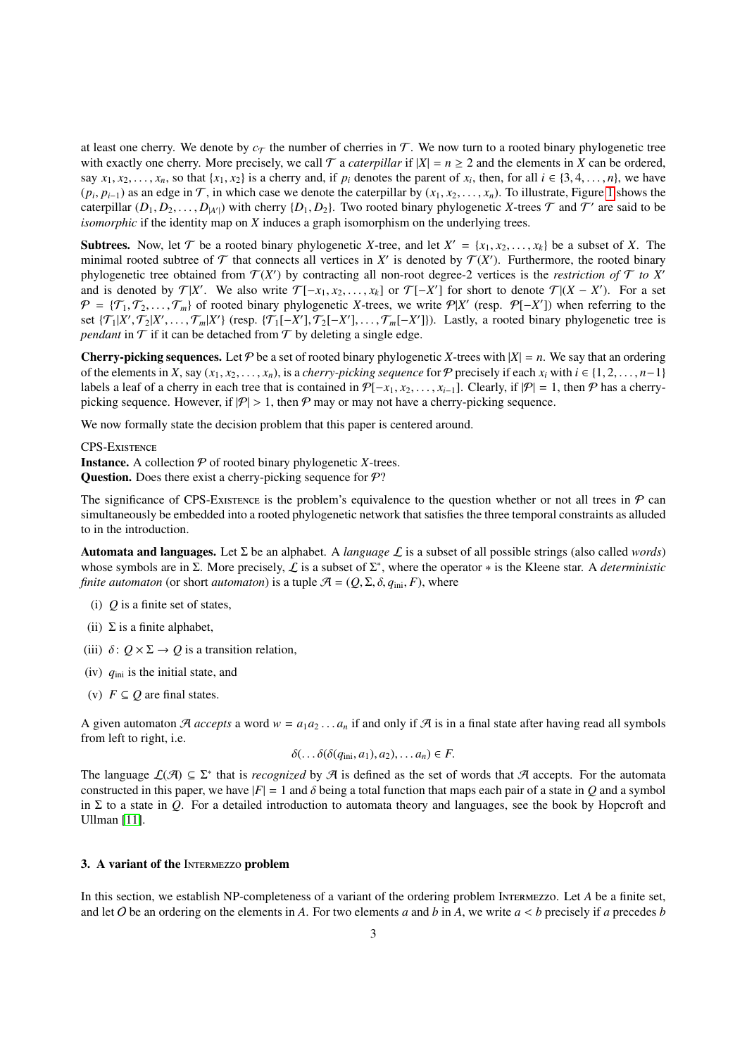at least one cherry. We denote by  $c_{\tau}$  the number of cherries in T. We now turn to a rooted binary phylogenetic tree with exactly one cherry. More precisely, we call  $\mathcal T$  a *caterpillar* if  $|X| = n \geq 2$  and the elements in *X* can be ordered, say  $x_1, x_2, \ldots, x_n$ , so that  $\{x_1, x_2\}$  is a cherry and, if  $p_i$  denotes the parent of  $x_i$ , then, for all  $i \in \{3, 4, \ldots, n\}$ , we have  $\{n, n_i, j\}$  as an edge in  $\mathcal{T}$  in which case we denote the caternillar by  $(x,$  $(p_i, p_{i-1})$  as an edge in  $\mathcal{T}$ , in which case we denote the caterpillar by  $(x_1, x_2, \ldots, x_n)$ . To illustrate, Figure [1](#page-5-1) shows the caterpillar  $(D, D_2, \ldots, D_{k-1})$  with cherry  $(D, D_3)$ . Two rooted binary phylogenetic *X*-tr caterpillar  $(D_1, D_2, \ldots, D_{|A'|})$  with cherry  $\{D_1, D_2\}$ . Two rooted binary phylogenetic *X*-trees  $\mathcal T$  and  $\mathcal T'$  are said to be *isomorphic* if the identity man on *X* induces a graph isomorphism on the underlying *isomorphic* if the identity map on *X* induces a graph isomorphism on the underlying trees.

**Subtrees.** Now, let  $\mathcal{T}$  be a rooted binary phylogenetic *X*-tree, and let  $X' = \{x_1, x_2, \ldots, x_k\}$  be a subset of *X*. The minimal rooted subtree of  $\mathcal{T}$  that connects all vertices in *X'* is denoted by  $\mathcal{T}(X')$ . minimal rooted subtree of  $T$  that connects all vertices in X' is denoted by  $T(X')$ . Furthermore, the rooted binary phylogenetic tree obtained from  $T(X')$  by contracting all non-root degree-2 vertices is the *restriction of*  $T$  *to*  $X'$ and is denoted by  $\mathcal{T} | X'$ . We also write  $\mathcal{T} [-x_1, x_2, \ldots, x_k]$  or  $\mathcal{T} [-X']$  for short to denote  $\mathcal{T} | (X - X')$ . For a set<br> $\mathcal{P} - \mathcal{T}$ ,  $\mathcal{T}$ , of rooted binary phylogenetic X-trees we write  $\mathcal{P} | X'$  (resp.  $\math$  $\mathcal{P} = \{\mathcal{T}_1, \mathcal{T}_2, \dots, \mathcal{T}_m\}$  of rooted binary phylogenetic *X*-trees, we write  $\mathcal{P}|X'$  (resp.  $\mathcal{P}[-X']$ ) when referring to the set  $\mathcal{F}[\mathcal{T}_1 | X' \mathcal{T}_2 | Y' \mathcal{T}_3 | Y' \mathcal{T}_4 | X_1]$  (resp.  $\mathcal{F}[T_1 | X' \mathcal{T}_2 | Y' \math$ set  $\{\mathcal{T}_1 | X', \mathcal{T}_2 | X', \dots, \mathcal{T}_m | X'\}$  (resp.  $\{\mathcal{T}_1[-X'], \mathcal{T}_2[-X'], \dots, \mathcal{T}_m[-X']\})$ ). Lastly, a rooted binary phylogenetic tree is need at in  $\mathcal{T}$  if it can be detached from  $\mathcal{T}$  by deleting a single edge *pendant* in  $T$  if it can be detached from  $T$  by deleting a single edge.

**Cherry-picking sequences.** Let  $\mathcal{P}$  be a set of rooted binary phylogenetic *X*-trees with  $|X| = n$ . We say that an ordering of the elements in *X*, say  $(x_1, x_2, \ldots, x_n)$ , is a *cherry-picking sequence* for  $P$  precisely if each  $x_i$  with  $i \in \{1, 2, \ldots, n-1\}$ labels a leaf of a cherry in each tree that is contained in  $\mathcal{P}[-x_1, x_2, \ldots, x_{i-1}]$ . Clearly, if  $|\mathcal{P}| = 1$ , then  $\mathcal P$  has a cherrypicking sequence. However, if  $|\mathcal{P}| > 1$ , then  $\mathcal P$  may or may not have a cherry-picking sequence.

We now formally state the decision problem that this paper is centered around.

CPS-Existence

**Instance.** A collection  $P$  of rooted binary phylogenetic *X*-trees. **Question.** Does there exist a cherry-picking sequence for  $P$ ?

The significance of CPS-Existence is the problem's equivalence to the question whether or not all trees in  $\mathcal P$  can simultaneously be embedded into a rooted phylogenetic network that satisfies the three temporal constraints as alluded to in the introduction.

Automata and languages. Let Σ be an alphabet. A *language* L is a subset of all possible strings (also called *words*) whose symbols are in Σ. More precisely, L is a subset of Σ ∗ , where the operator ∗ is the Kleene star. A *deterministic finite automaton* (or short *automaton*) is a tuple  $\mathcal{A} = (Q, \Sigma, \delta, q_{\text{ini}}, F)$ , where

- (i) *Q* is a finite set of states,
- (ii)  $\Sigma$  is a finite alphabet,
- (iii)  $\delta$ :  $Q \times \Sigma \rightarrow Q$  is a transition relation,
- (iv) *q*ini is the initial state, and
- (v)  $F \subseteq Q$  are final states.

A given automaton  $\mathcal A$  *accepts* a word  $w = a_1 a_2 \dots a_n$  if and only if  $\mathcal A$  is in a final state after having read all symbols from left to right, i.e.

$$
\delta(\ldots \delta(\delta(q_{\rm ini},a_1),a_2),\ldots a_n)\in F.
$$

The language  $\mathcal{L}(\mathcal{A}) \subseteq \Sigma^*$  that is *recognized* by  $\mathcal{A}$  is defined as the set of words that  $\mathcal{A}$  accepts. For the automata constructed in this paper, we have  $|F| = 1$  and  $\delta$  being a total function that maps each pair of a state in O and a symbol in Σ to a state in *Q*. For a detailed introduction to automata theory and languages, see the book by Hopcroft and Ullman [\[11\]](#page-16-16).

#### <span id="page-2-0"></span>3. A variant of the INTERMEZZO problem

In this section, we establish NP-completeness of a variant of the ordering problem INTERMEZZO. Let *A* be a finite set, and let O be an ordering on the elements in A. For two elements *a* and *b* in A, we write  $a < b$  precisely if *a* precedes *b*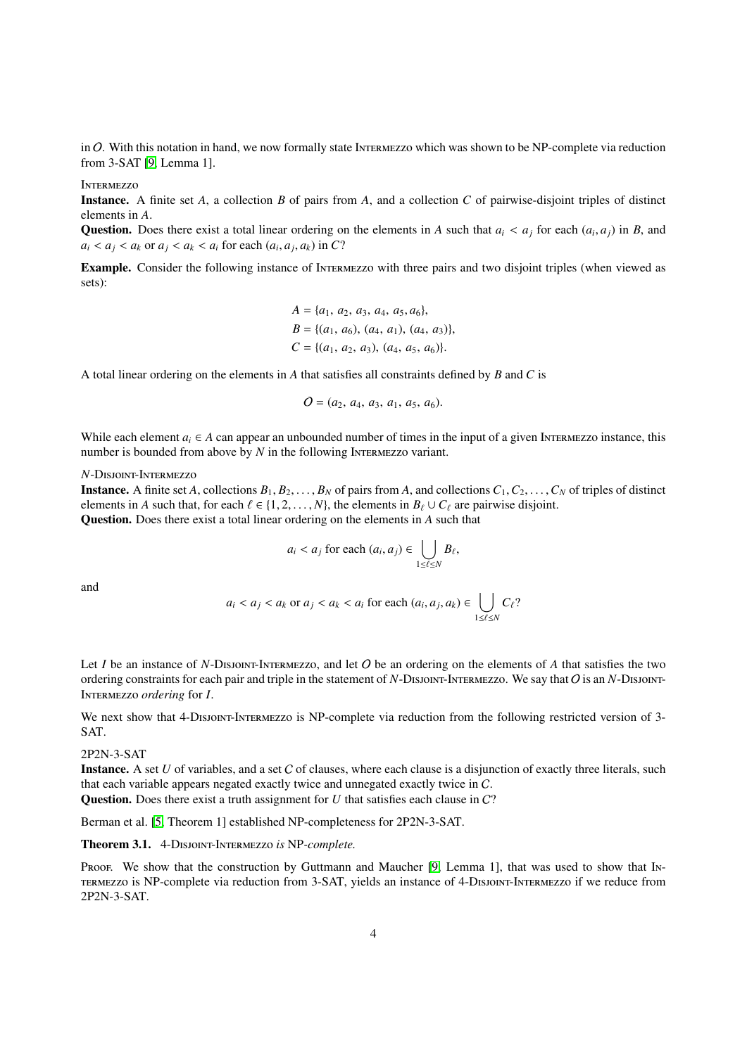in O. With this notation in hand, we now formally state Intermezzo which was shown to be NP-complete via reduction from 3-SAT [\[9,](#page-16-15) Lemma 1].

#### **INTERMEZZO**

Instance. A finite set *A*, a collection *B* of pairs from *A*, and a collection *C* of pairwise-disjoint triples of distinct elements in *A*.

Question. Does there exist a total linear ordering on the elements in *A* such that  $a_i < a_j$  for each  $(a_i, a_j)$  in *B*, and  $a_i < a_j < a_j < a_j$  for each  $(a_i, a_j)$  in *B*  $a_i < a_j < a_k$  or  $a_j < a_k < a_i$  for each  $(a_i, a_j, a_k)$  in *C*?

Example. Consider the following instance of Intermezzo with three pairs and two disjoint triples (when viewed as sets):

$$
A = \{a_1, a_2, a_3, a_4, a_5, a_6\},
$$
  
\n
$$
B = \{(a_1, a_6), (a_4, a_1), (a_4, a_3)\},
$$
  
\n
$$
C = \{(a_1, a_2, a_3), (a_4, a_5, a_6)\}.
$$

A total linear ordering on the elements in *A* that satisfies all constraints defined by *B* and *C* is

$$
O=(a_2, a_4, a_3, a_1, a_5, a_6).
$$

While each element  $a_i \in A$  can appear an unbounded number of times in the input of a given INTERMEZZO instance, this number is bounded from above by *N* in the following INTERMEZZO variant.

## *N*-Disjoint-Intermezzo

**Instance.** A finite set *A*, collections  $B_1, B_2, \ldots, B_N$  of pairs from *A*, and collections  $C_1, C_2, \ldots, C_N$  of triples of distinct elements in *A* such that, for each  $\ell \in \{1, 2, ..., N\}$ , the elements in  $B_\ell \cup C_\ell$  are pairwise disjoint. Question. Does there exist a total linear ordering on the elements in *A* such that

$$
a_i < a_j \text{ for each } (a_i, a_j) \in \bigcup_{1 \le \ell \le N} B_\ell,
$$

and

$$
a_i < a_j < a_k \text{ or } a_j < a_k < a_i \text{ for each } (a_i, a_j, a_k) \in \bigcup_{1 \leq \ell \leq N} C_\ell?
$$

Let *I* be an instance of *N*-Disjoint-Intermezzo, and let *O* be an ordering on the elements of *A* that satisfies the two ordering constraints for each pair and triple in the statement of *N*-Disjoint-Intermezzo. We say that O is an *N*-Disjoint-Intermezzo *ordering* for *I*.

We next show that 4-DISJOINT-INTERMEZZO is NP-complete via reduction from the following restricted version of 3-SAT.

2P2N-3-SAT

Instance. A set *U* of variables, and a set *C* of clauses, where each clause is a disjunction of exactly three literals, such that each variable appears negated exactly twice and unnegated exactly twice in C. Question. Does there exist a truth assignment for *U* that satisfies each clause in *C*?

Berman et al. [\[5,](#page-16-17) Theorem 1] established NP-completeness for 2P2N-3-SAT.

#### <span id="page-3-0"></span>Theorem 3.1. 4-Disjoint-Intermezzo *is* NP*-complete.*

Proof. We show that the construction by Guttmann and Maucher [\[9,](#page-16-15) Lemma 1], that was used to show that Intermezzo is NP-complete via reduction from 3-SAT, yields an instance of 4-Disjoint-Intermezzo if we reduce from 2P2N-3-SAT.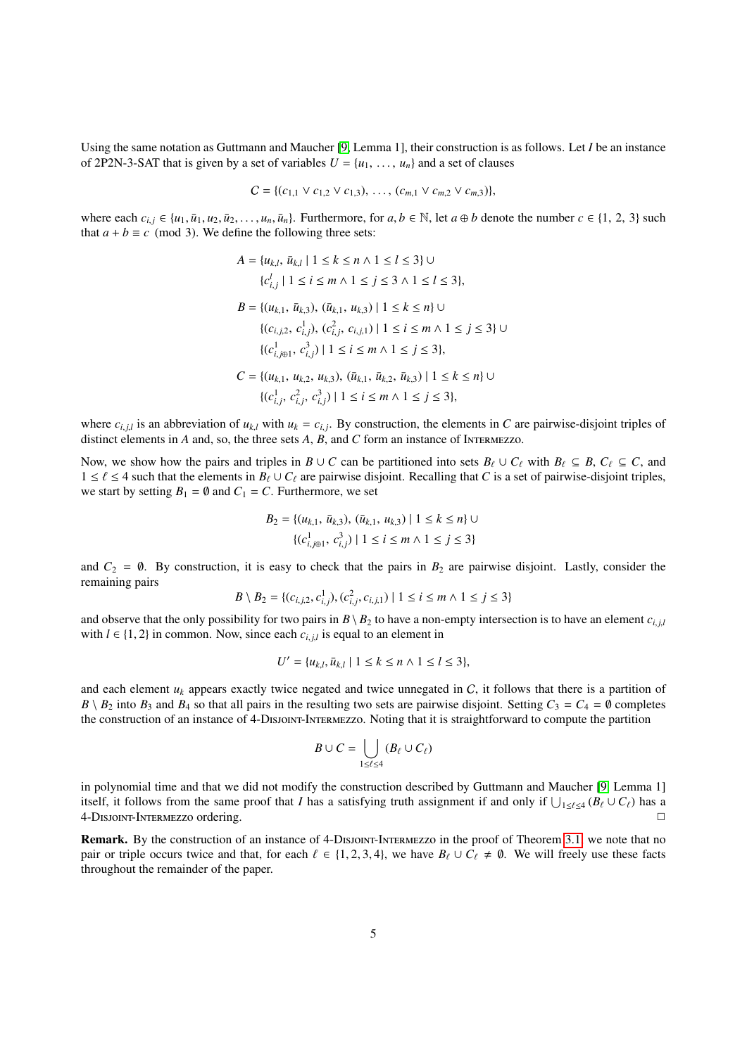Using the same notation as Guttmann and Maucher [\[9,](#page-16-15) Lemma 1], their construction is as follows. Let *I* be an instance of 2P2N-3-SAT that is given by a set of variables  $U = \{u_1, \ldots, u_n\}$  and a set of clauses

$$
C = \{(c_{1,1} \vee c_{1,2} \vee c_{1,3}), \ldots, (c_{m,1} \vee c_{m,2} \vee c_{m,3})\},\
$$

where each  $c_{i,j} \in \{u_1, \bar{u}_1, u_2, \bar{u}_2, \dots, u_n, \bar{u}_n\}$ . Furthermore, for  $a, b \in \mathbb{N}$ , let  $a \oplus b$  denote the number  $c \in \{1, 2, 3\}$  such that  $a + b \equiv c \pmod{3}$ . We define the following three sets:

$$
A = \{u_{k,l}, \bar{u}_{k,l} \mid 1 \le k \le n \land 1 \le l \le 3\} \cup
$$
  
\n
$$
\{c_{i,j}^l \mid 1 \le i \le m \land 1 \le j \le 3 \land 1 \le l \le 3\},
$$
  
\n
$$
B = \{(u_{k,1}, \bar{u}_{k,3}), (\bar{u}_{k,1}, u_{k,3}) \mid 1 \le k \le n\} \cup
$$
  
\n
$$
\{(c_{i,j,2}, c_{i,j}^1), (c_{i,j}^2, c_{i,j,1}) \mid 1 \le i \le m \land 1 \le j \le 3\} \cup
$$
  
\n
$$
\{(c_{i,j\oplus 1}^1, c_{i,j}^3) \mid 1 \le i \le m \land 1 \le j \le 3\},
$$
  
\n
$$
C = \{(u_{k,1}, u_{k,2}, u_{k,3}), (\bar{u}_{k,1}, \bar{u}_{k,2}, \bar{u}_{k,3}) \mid 1 \le k \le n\} \cup
$$
  
\n
$$
\{(c_{i,j}^1, c_{i,j}^2, c_{i,j}^3) \mid 1 \le i \le m \land 1 \le j \le 3\},
$$

where  $c_{i,j,l}$  is an abbreviation of  $u_{k,l}$  with  $u_k = c_{i,j}$ . By construction, the elements in *C* are pairwise-disjoint triples of distinct alomanta in *A* and so the three sets *A*. B and *C* form an instance of Lyrunus distinct elements in *A* and, so, the three sets *A*, *B*, and *C* form an instance of Intermezzo.

Now, we show how the pairs and triples in  $B \cup C$  can be partitioned into sets  $B_\ell \cup C_\ell$  with  $B_\ell \subseteq B$ ,  $C_\ell \subseteq C$ , and  $1 \le \ell \le 4$  such that the elements in  $B_\ell \cup C_\ell$  are pairwise disjoint. Recalling that *C* is a set of pairwise-disjoint triples, we start by setting  $B_1 = \emptyset$  and  $C_1 = C$ . Furthermore, we set

$$
B_2 = \{ (u_{k,1}, \bar{u}_{k,3}), (\bar{u}_{k,1}, u_{k,3}) \mid 1 \le k \le n \} \cup \{ (c^1_{i,j \oplus 1}, c^3_{i,j}) \mid 1 \le i \le m \land 1 \le j \le 3 \}
$$

and  $C_2 = \emptyset$ . By construction, it is easy to check that the pairs in  $B_2$  are pairwise disjoint. Lastly, consider the remaining pairs

$$
B \setminus B_2 = \{ (c_{i,j,2}, c_{i,j}^1), (c_{i,j}^2, c_{i,j,1}) \mid 1 \le i \le m \land 1 \le j \le 3 \}
$$

and observe that the only possibility for two pairs in  $B \setminus B_2$  to have a non-empty intersection is to have an element  $c_{i,i,l}$ with  $l \in \{1, 2\}$  in common. Now, since each  $c_{i,j,l}$  is equal to an element in

$$
U' = \{u_{k,l}, \bar{u}_{k,l} \mid 1 \le k \le n \land 1 \le l \le 3\},\
$$

and each element  $u_k$  appears exactly twice negated and twice unnegated in  $C$ , it follows that there is a partition of  $B \setminus B_2$  into  $B_3$  and  $B_4$  so that all pairs in the resulting two sets are pairwise disjoint. Setting  $C_3 = C_4 = \emptyset$  completes the construction of an instance of 4-Disjoint-Intermezzo. Noting that it is straightforward to compute the partition

$$
B \cup C = \bigcup_{1 \leq \ell \leq 4} (B_{\ell} \cup C_{\ell})
$$

in polynomial time and that we did not modify the construction described by Guttmann and Maucher [\[9,](#page-16-15) Lemma 1] itself, it follows from the same proof that *I* has a satisfying truth assignment if and only if  $\bigcup_{1 \leq \ell \leq 4} (B_\ell \cup C_\ell)$  has a  $\Omega$ 4-Disjoint-Intermezzo ordering.  $\Box$ 

Remark. By the construction of an instance of 4-Disjoint-Intermezzo in the proof of Theorem [3.1,](#page-3-0) we note that no pair or triple occurs twice and that, for each  $\ell \in \{1, 2, 3, 4\}$ , we have  $B_\ell \cup C_\ell \neq \emptyset$ . We will freely use these facts throughout the remainder of the paper.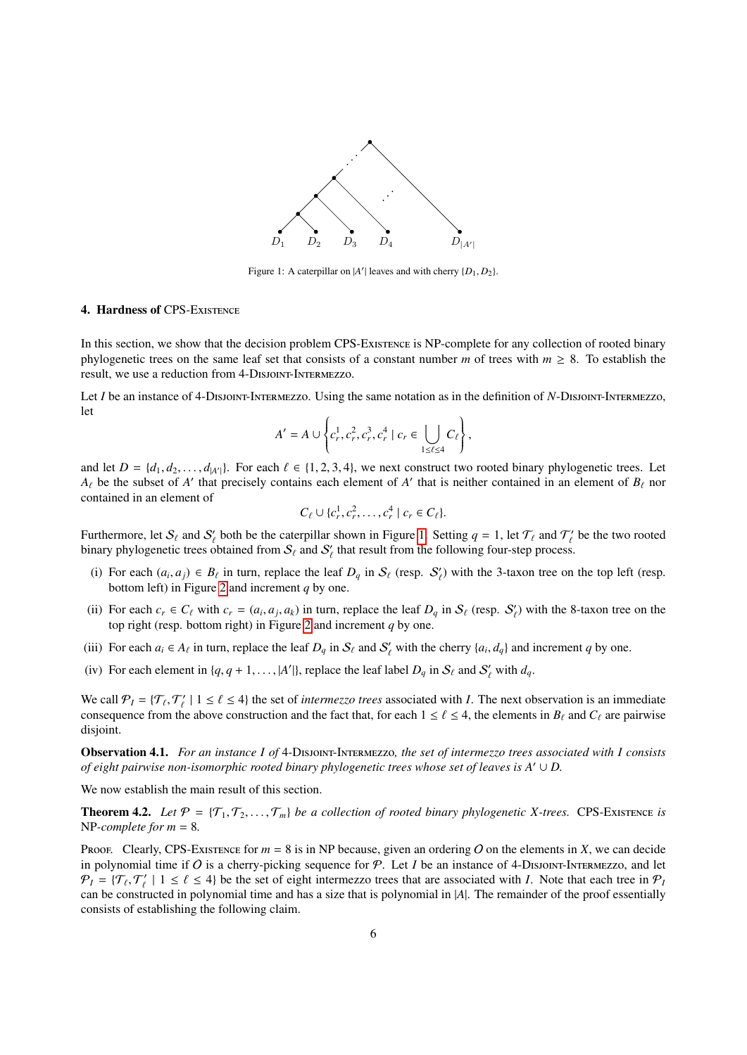

<span id="page-5-1"></span>Figure 1: A caterpillar on  $|A'|$  leaves and with cherry  $\{D_1, D_2\}$ .

# <span id="page-5-0"></span>4. Hardness of CPS-Existence

In this section, we show that the decision problem CPS-Existence is NP-complete for any collection of rooted binary phylogenetic trees on the same leaf set that consists of a constant number *m* of trees with  $m \geq 8$ . To establish the result, we use a reduction from 4-Disjoint-Intermezzo.

Let *I* be an instance of 4-Disjoint-Intermezzo. Using the same notation as in the definition of *N*-Disjoint-Intermezzo, let

$$
A' = A \cup \left\{ c_r^1, c_r^2, c_r^3, c_r^4 \mid c_r \in \bigcup_{1 \le \ell \le 4} C_\ell \right\},\
$$

and let  $D = \{d_1, d_2, \ldots, d_{|A'|}\}.$  For each  $\ell \in \{1, 2, 3, 4\}$ , we next construct two rooted binary phylogenetic trees. Let  $A_{\ell}$  be the subset of  $A'$  that precisely contains each element of  $A'$  that is neither conta  $A_\ell$  be the subset of *A*<sup> $\prime$ </sup> that precisely contains each element of *A*<sup> $\prime$ </sup> that is neither contained in an element of  $B_\ell$  nor contained in an element of

$$
C_{\ell} \cup \{c_r^1, c_r^2, \dots, c_r^4 \mid c_r \in C_{\ell}\}.
$$

Furthermore, let  $S_\ell$  and  $S'_\ell$  both be the caterpillar shown in Figure [1.](#page-5-1) Setting  $q = 1$ , let  $\mathcal{T}_\ell$  and  $\mathcal{T}'_\ell$  be the two rooted binary phylogenetic trees obtained from  $S_\ell$  and  $S'_\ell$  that result from the following four-step process.

- (i) For each  $(a_i, a_j) \in B_\ell$  in turn, replace the leaf  $D_q$  in  $S_\ell$  (resp.  $S'_\ell$ ) with the 3-taxon tree on the top left (resp. bottom left) in Figure 2 and increment *a* by one bottom left) in Figure [2](#page-6-0) and increment *q* by one.
- (ii) For each  $c_r \in C_\ell$  with  $c_r = (a_i, a_j, a_k)$  in turn, replace the leaf  $D_q$  in  $S_\ell$  (resp.  $S'_\ell$ ) with the 8-taxon tree on the top right (resp. bottom right) in Figure 2 and increment *a* by one top right (resp. bottom right) in Figure [2](#page-6-0) and increment *q* by one.
- (iii) For each  $a_i \in A_\ell$  in turn, replace the leaf  $D_q$  in  $S_\ell$  and  $S'_\ell$  with the cherry  $\{a_i, d_q\}$  and increment  $q$  by one.
- (iv) For each element in  $\{q, q+1, \ldots, |A'|\}$ , replace the leaf label  $D_q$  in  $S_\ell$  and  $S'_\ell$  with  $d_q$ .

We call  $\mathcal{P}_I = \{ \mathcal{T}_\ell, \mathcal{T}'_\ell \mid 1 \leq \ell \leq 4 \}$  the set of *intermezzo trees* associated with *I*. The next observation is an immediate consequence from the above construction and the fact that for each  $1 \leq \ell \leq 4$  consequence from the above construction and the fact that, for each  $1 \leq \ell \leq 4$ , the elements in  $B_\ell$  and  $C_\ell$  are pairwise disjoint disjoint.

Observation 4.1. *For an instance I of* 4-Disjoint-Intermezzo*, the set of intermezzo trees associated with I consists of eight pairwise non-isomorphic rooted binary phylogenetic trees whose set of leaves is A'* ∪ *D.* 

<span id="page-5-2"></span>We now establish the main result of this section.

**Theorem 4.2.** Let  $P = \{T_1, T_2, \ldots, T_m\}$  be a collection of rooted binary phylogenetic X-trees. CPS-Existence is NP*-complete for m* = 8*.*

Proof. Clearly, CPS-Existence for  $m = 8$  is in NP because, given an ordering O on the elements in X, we can decide in polynomial time if  $O$  is a cherry-picking sequence for  $P$ . Let *I* be an instance of 4-DISJOINT-INTERMEZZO, and let  $\mathcal{P}_I = \{ \mathcal{T}_\ell, \mathcal{T}'_\ell \mid 1 \leq \ell \leq 4 \}$  be the set of eight intermezzo trees that are associated with *I*. Note that each tree in  $\mathcal{P}_I$  can be constructed in polynomial time and has a size that is polynomial in [4 can be constructed in polynomial time and has a size that is polynomial in |*A*|. The remainder of the proof essentially consists of establishing the following claim.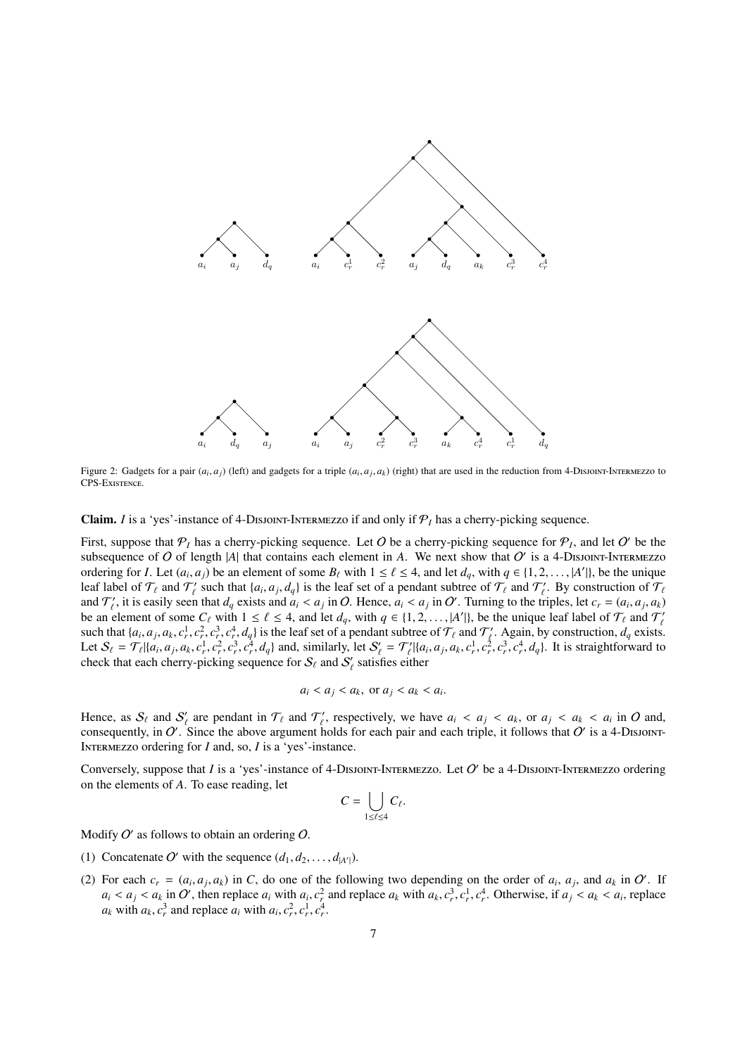

<span id="page-6-0"></span>Figure 2: Gadgets for a pair  $(a_i, a_j)$  (left) and gadgets for a triple  $(a_i, a_j, a_k)$  (right) that are used in the reduction from 4-Disjoint-Intermezzo to  $CPS$ -Existence CPS-Existence.

Claim. *I* is a 'yes'-instance of 4-Disjoint-Intermezzo if and only if  $\mathcal{P}_l$  has a cherry-picking sequence.

First, suppose that  $P_I$  has a cherry-picking sequence. Let O be a cherry-picking sequence for  $P_I$ , and let O' be the subsequence of  $O$  of length |A| that contains each element in  $A$ . We next show that  $O'$  is a 4-Disjoint-Intermezzo ordering for *I*. Let  $(a_i, a_j)$  be an element of some  $B_\ell$  with  $1 \leq \ell \leq 4$ , and let  $d_q$ , with  $q \in \{1, 2, \ldots, |A'|\}$ , be the unique leaf label of  $\mathcal{T}_{\ell}$  and  $\mathcal{T}'_{\ell}$  such that  $\{a_i, a_j, d_q\}$  is the leaf set of a pendant subtree of  $\mathcal{T}_{\ell}$  and  $\mathcal{T}'_{\ell}$ . By construction of  $\mathcal{T}_{\ell}$ <br>and  $\mathcal{T}'$  it is easily seen that devists and  $a_i \le a_i$  i and  $T'_\ell$ , it is easily seen that  $d_q$  exists and  $a_i < a_j$  in O. Hence,  $a_i < a_j$  in O'. Turning to the triples, let  $c_r = (a_i, a_j, a_k)$ <br>be an element of some  $C_\ell$  with  $1 \le \ell \le 4$  and let d, with  $a \in \{1, 2, \ldots, 14\}$  be the be an element of some  $C_{\ell}$  with  $1 \leq \ell \leq 4$ , and let  $d_q$ , with  $q \in \{1, 2, ..., |A'|\}$ , be the unique leaf label of  $\mathcal{T}_{\ell}$  and  $\mathcal{T}'_{\ell}$ <br>such that  $\{a_1, a_2, a_3, c_1, c_2, c_3, c_3, c_4, d_4\}$  is the leaf set of a pend such that  $\{a_i, a_j, a_k, c_r^1, c_r^2, c_r^3, c_r^4, d_q\}$  is the leaf set of a pendant subtree of  $\mathcal{T}_{\ell}$  and  $\mathcal{T}'_{\ell}$ . Again, by construction,  $d_q$  exists <br>Let  $S_{\ell} = \mathcal{T}_{\ell} | \{a_i, a_j, a_k, c_k^1, c_k^2, c_l^3, c_l^4, d_l\}$  and similar  $\int_{a}^{b}$ . Again, by construction,  $d_q$  exists.<br> $\int_{a}^{b} c^3 c^4 d\lambda$ . It is straightforward to Let  $S_{\ell} = \mathcal{T}_{\ell} | \{a_i, a_j, a_k, c_r^1, c_r^2, c_r^3, c_r^4, d_q\}$  and, similarly, let  $S_{\ell}' = \mathcal{T}_{\ell}' | \{a_i, a_j, a_k, c_r^1, c_r^2, c_r^3, c_r^4, d_q\}$ . It is straightforward to check that each cherry-picking sequence for  $S_{\ell}$  and  $S'$  sati check that each cherry-picking sequence for  $S_\ell$  and  $S'_\ell$  satisfies either

$$
a_i < a_j < a_k, \text{ or } a_j < a_k < a_i.
$$

Hence, as  $S_\ell$  and  $S'_\ell$  are pendant in  $T_\ell$  and  $T'_\ell$ , respectively, we have  $a_i < a_j < a_k$ , or  $a_j < a_k < a_i$  in O and, consequently in  $O'$ . Since the above argument holds for each pair and each triple, it follows that  $O'$ consequently, in O'. Since the above argument holds for each pair and each triple, it follows that O' is a 4-Disjoint-Intermezzo ordering for *I* and, so, *I* is a 'yes'-instance.

Conversely, suppose that  $I$  is a 'yes'-instance of 4-Disjoint-Intermezzo. Let  $O'$  be a 4-Disjoint-Intermezzo ordering on the elements of *A*. To ease reading, let

$$
C=\bigcup_{1\leq \ell\leq 4}C_{\ell}.
$$

Modify  $O'$  as follows to obtain an ordering  $O$ .

- (1) Concatenate O' with the sequence  $(d_1, d_2, \ldots, d_{|A'|})$ .
- (2) For each  $c_r = (a_i, a_j, a_k)$  in C, do one of the following two depending on the order of  $a_i$ ,  $a_j$ , and  $a_k$  in O'. If  $a_i \le a_i \le a_i$  in O' then replace a with  $a_i$   $c^2$  and replace a with  $a_i$   $c^3$   $c^1$   $c^4$ . Otherwis  $a_i < a_j < a_k$  in O', then replace  $a_i$  with  $a_i$ ,  $c_r^2$  and replace  $a_k$  with  $a_k$ ,  $c_r^3$ ,  $c_r^1$ ,  $c_r^4$ . Otherwise, if  $a_j < a_k < a_i$ , replace  $a_i$  with  $a_i$ ,  $c_s^2$   $c_s^1$ ,  $c_s^4$  $a_k$  with  $a_k$ ,  $c_r^3$  and replace  $a_i$  with  $a_i$ ,  $c_r^2$ ,  $c_r^1$ ,  $c_r^4$ .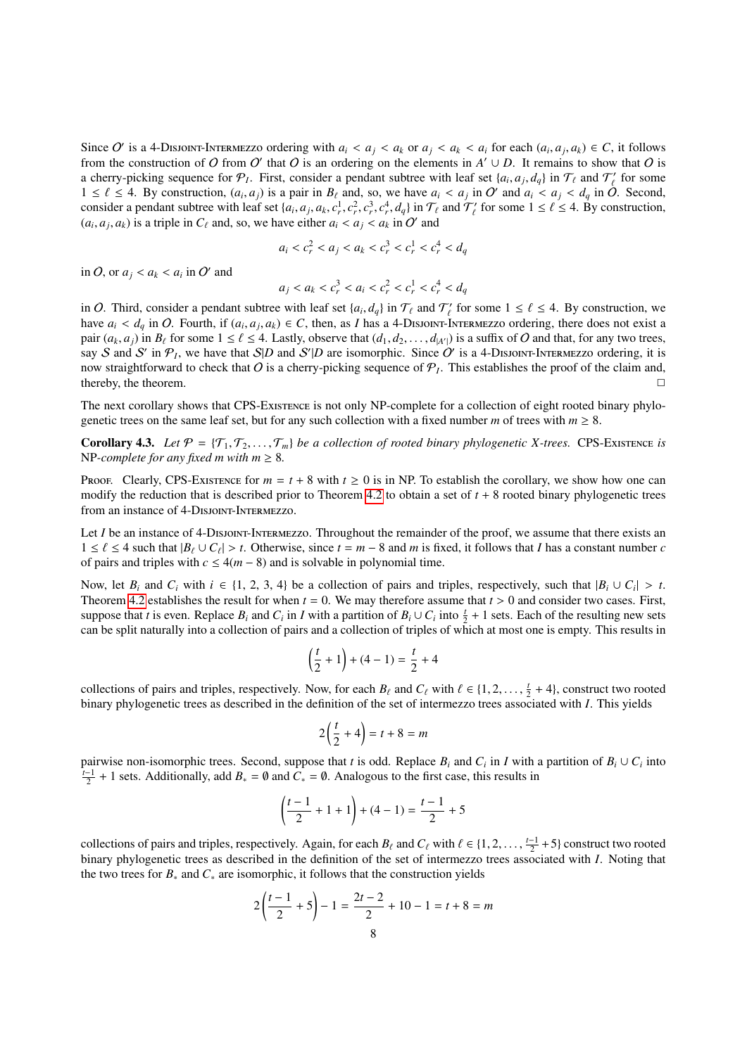Since O' is a 4-DISJOINT-INTERMEZZO ordering with  $a_i < a_j < a_k$  or  $a_j < a_k < a_i$  for each  $(a_i, a_j, a_k) \in C$ , it follows from the construction of O from O' that O is an ordering on the elements in  $A' \cup D$ . It remains to show that O is a cherry-picking sequence for  $\mathcal{P}_l$ . First, consider a pendant subtree with leaf set  $\{a_i, a_j, d_q\}$  in  $\mathcal{T}_l$  and  $\mathcal{T}'_l$  for some  $1 \leq l \leq d$ . By construction  $(a, a)$  is a pair in  $R_2$  and so, we have  $a_i \leq a$  in  $1 \leq \ell \leq 4$ . By construction,  $(a_i, a_j)$  is a pair in  $B_\ell$  and, so, we have  $a_i < a_j$  in  $O'$  and  $a_i < a_j < d_q$  in  $O$ . Second, consider a pendant subtree with leaf set *l.a. a*, *a*, *a*<sup>1</sup>  $c^2$   $c^3$   $c^4$  *d l* in  $T$ consider a pendant subtree with leaf set  $\{a_i, a_j, a_k, c_i^1, c_f^2, c_f^3, c_f^4, d_g\}$  in  $\mathcal{T}_\ell$  and  $\mathcal{T}'_\ell$  for some  $1 \leq \ell \leq 4$ . By construction,  $(a_i, a_j, a_k)$  is a triple in  $C_\ell$  and so, we have either  $a_i \leq a_j \leq a_k$  in  $(a_i, a_j, a_k)$  is a triple in  $C_\ell$  and, so, we have either  $a_i < a_j < a_k$  in O' and

$$
a_i < c_r^2 < a_j < a_k < c_r^3 < c_r^1 < c_r^4 < d_q
$$

in *O*, or  $a_j < a_k < a_i$  in *O'* and

$$
a_j < a_k < c_r^3 < a_i < c_r^2 < c_r^1 < c_r^4 < d_q
$$

in O. Third, consider a pendant subtree with leaf set  $\{a_i, d_q\}$  in  $\mathcal{T}_\ell$  and  $\mathcal{T}'_\ell$  for some  $1 \leq \ell \leq 4$ . By construction, we have  $a_i \leq d$  in O. Fourth if  $(a_i, a_j) \in C$  then as *I* has a 4-Disjonal interpretatio have  $a_i < d_q$  in O. Fourth, if  $(a_i, a_j, a_k) \in C$ , then, as *I* has a 4-Disjoint-Intermezzo ordering, there does not exist a pair  $(a_i, a_j)$  in  $R_i$  for some  $1 < \ell < 4$ . I astly observe that  $(d_i, d_2, \ldots, d_{k-1})$  is a suffix of O a pair  $(a_k, a_j)$  in  $B_\ell$  for some  $1 \leq \ell \leq 4$ . Lastly, observe that  $(d_1, d_2, \ldots, d_{|A'|})$  is a suffix of O and that, for any two trees, say  $S$  and  $S'$  in  $\mathcal{P}$ , we have that  $S|D$  and  $S'|D$  are isomorphic. Since  $O'$  say S and S' in  $P_I$ , we have that S|D and S'|D are isomorphic. Since O' is a 4-Disjoint-Intermezzo ordering, it is now straightforward to check that  $O$  is a cherry-picking sequence of  $P_I$ . This establishes the proof of the claim and, thereby, the theorem.  $\Box$ 

The next corollary shows that CPS-Existence is not only NP-complete for a collection of eight rooted binary phylogenetic trees on the same leaf set, but for any such collection with a fixed number *m* of trees with  $m \geq 8$ .

**Corollary 4.3.** Let  $P = \{T_1, T_2, ..., T_m\}$  be a collection of rooted binary phylogenetic X-trees. CPS-Existence is NP-complete for any fixed m with  $m \geq 8$ .

Proof. Clearly, CPS-Existence for  $m = t + 8$  with  $t \ge 0$  is in NP. To establish the corollary, we show how one can modify the reduction that is described prior to Theorem [4.2](#page-5-2) to obtain a set of  $t + 8$  rooted binary phylogenetic trees from an instance of 4-Disjoint-Intermezzo.

Let *I* be an instance of 4-Disjoint-Intermezzo. Throughout the remainder of the proof, we assume that there exists an  $1 \leq \ell \leq 4$  such that  $|B_{\ell} \cup C_{\ell}| > t$ . Otherwise, since  $t = m - 8$  and *m* is fixed, it follows that *I* has a constant number *c* of pairs and triples with  $c \leq A(m - 8)$  and is solvable in polynomial time. of pairs and triples with  $c \leq 4(m-8)$  and is solvable in polynomial time.

Now, let  $B_i$  and  $C_i$  with  $i \in \{1, 2, 3, 4\}$  be a collection of pairs and triples, respectively, such that  $|B_i \cup C_i| > t$ .<br>Theorem 4.2 establishes the result for when  $t = 0$ . We may therefore assume that  $t > 0$  and consi Theorem [4.2](#page-5-2) establishes the result for when *<sup>t</sup>* <sup>=</sup> 0. We may therefore assume that *<sup>t</sup>* > 0 and consider two cases. First, suppose that *t* is even. Replace  $B_i$  and  $C_i$  in *I* with a partition of  $B_i \cup C_i$  into  $\frac{t}{2} + 1$  sets. Each of the resulting new sets can be split naturally into a collection of pairs and a collection of triples of which at most one is empty. This results in

$$
\left( \frac{t}{2} + 1 \right) + (4 - 1) = \frac{t}{2} + 4
$$

collections of pairs and triples, respectively. Now, for each  $B_\ell$  and  $C_\ell$  with  $\ell \in \{1, 2, ..., \frac{t}{2} + 4\}$ , construct two rooted binary phylogenetic trees as described in the definition of the set of intermezzo trees a binary phylogenetic trees as described in the definition of the set of intermezzo trees associated with *I*. This yields

$$
2\left(\frac{t}{2} + 4\right) = t + 8 = m
$$

pairwise non-isomorphic trees. Second, suppose that *t* is odd. Replace  $B_i$  and  $C_i$  in *I* with a partition of  $B_i \cup C_i$  into  $\frac{t-1}{2}$  + 1 sets. Additionally, add *B*<sup>∗</sup> = *0* and *C*<sup>∗</sup> = *0*. Analogous to the first case, this results in

$$
\left(\frac{t-1}{2} + 1 + 1\right) + (4 - 1) = \frac{t-1}{2} + 5
$$

collections of pairs and triples, respectively. Again, for each  $B_\ell$  and  $C_\ell$  with  $\ell \in \{1, 2, \ldots, \frac{t-1}{2} + 5\}$  construct two rooted binary phylogenetic trees as described in the definition of the set of intermezzo t binary phylogenetic trees as described in the definition of the set of intermezzo trees associated with *I*. Noting that the two trees for  $B_*$  and  $C_*$  are isomorphic, it follows that the construction yields

$$
2\left(\frac{t-1}{2} + 5\right) - 1 = \frac{2t-2}{2} + 10 - 1 = t + 8 = m
$$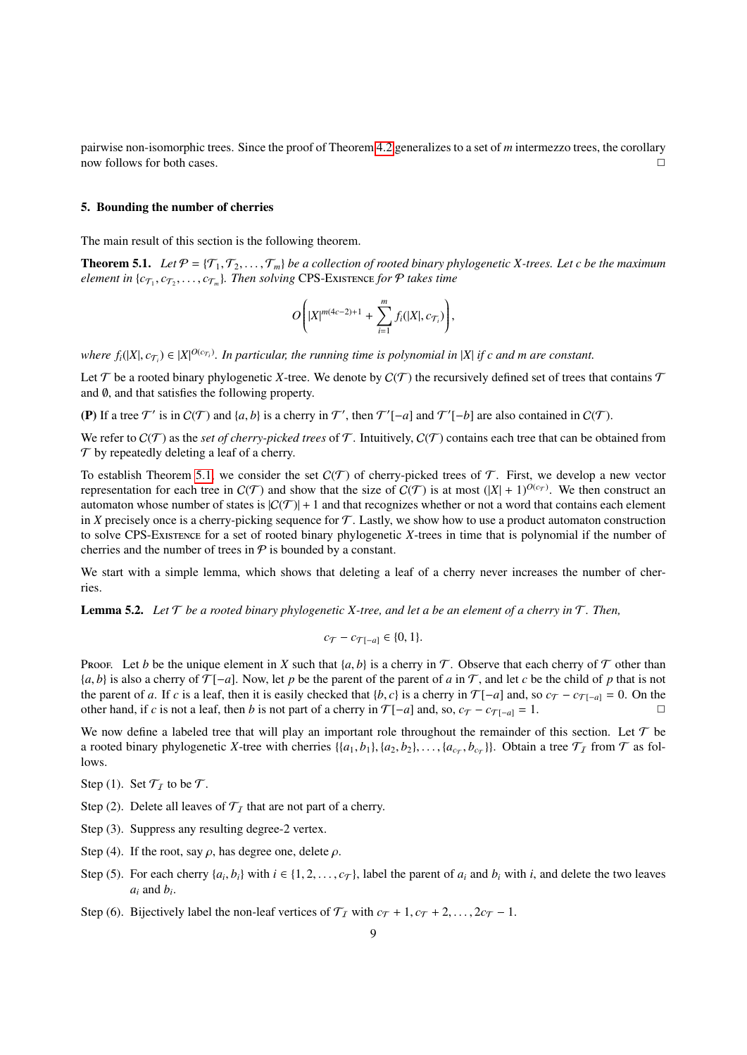pairwise non-isomorphic trees. Since the proof of Theorem [4.2](#page-5-2) generalizes to a set of *m* intermezzo trees, the corollary now follows for both cases.

## <span id="page-8-0"></span>5. Bounding the number of cherries

The main result of this section is the following theorem.

<span id="page-8-1"></span>**Theorem 5.1.** Let  $P = \{T_1, T_2, \ldots, T_m\}$  be a collection of rooted binary phylogenetic X-trees. Let c be the maximum *element in*  $\{c_{\mathcal{T}_1}, c_{\mathcal{T}_2}, \ldots, c_{\mathcal{T}_m}\}$ *. Then solving CPS-Existence for*  $P$  *takes time* 

$$
O\left(|X|^{m(4c-2)+1}+\sum_{i=1}^m f_i(|X|,c_{\mathcal{T}_i})\right),\,
$$

*where*  $f_i(|X|, c_{\mathcal{T}_i}) \in |X|^{O(c_{\mathcal{T}_i})}$ . In particular, the running time is polynomial in  $|X|$  *if c and m are constant.* 

Let  $T$  be a rooted binary phylogenetic *X*-tree. We denote by  $C(T)$  the recursively defined set of trees that contains  $T$ and ∅, and that satisfies the following property.

**(P)** If a tree  $\mathcal{T}'$  is in  $C(\mathcal{T})$  and  $\{a, b\}$  is a cherry in  $\mathcal{T}'$ , then  $\mathcal{T}'[-a]$  and  $\mathcal{T}'[-b]$  are also contained in  $C(\mathcal{T})$ .

We refer to  $C(\mathcal{T})$  as the *set of cherry-picked trees* of  $\mathcal{T}$ . Intuitively,  $C(\mathcal{T})$  contains each tree that can be obtained from  $\mathcal T$  by repeatedly deleting a leaf of a cherry.

To establish Theorem [5.1,](#page-8-1) we consider the set  $C(\mathcal{T})$  of cherry-picked trees of  $\mathcal{T}$ . First, we develop a new vector representation for each tree in  $C(\mathcal{T})$  and show that the size of  $C(\mathcal{T})$  is at most  $(|X| + 1)^{O(c_{\mathcal{T}})}$ . We then construct an automaton whose number of states is  $|C(\mathcal{T})| + 1$  and that recognizes whether or not a word that contains each element in *X* precisely once is a cherry-picking sequence for  $\mathcal T$ . Lastly, we show how to use a product automaton construction to solve CPS-Existence for a set of rooted binary phylogenetic *X*-trees in time that is polynomial if the number of cherries and the number of trees in  $P$  is bounded by a constant.

We start with a simple lemma, which shows that deleting a leaf of a cherry never increases the number of cherries.

<span id="page-8-2"></span>**Lemma 5.2.** Let  $\mathcal T$  be a rooted binary phylogenetic X-tree, and let a be an element of a cherry in  $\mathcal T$ . Then,

$$
c_{\mathcal{T}}-c_{\mathcal{T}[-a]}\in\{0,1\}.
$$

Proof. Let *b* be the unique element in *X* such that  $\{a, b\}$  is a cherry in  $\mathcal T$ . Observe that each cherry of  $\mathcal T$  other than  ${a,b}$  is also a cherry of  $\mathcal{T}[-a]$ . Now, let *p* be the parent of the parent of *a* in  $\mathcal{T}$ , and let *c* be the child of *p* that is not the parent of *a*. If *c* is a leaf, then it is easily checked that  $\{b, c\}$  is a cherry in  $\mathcal{T}[-a]$  and, so  $c_T - c_{\mathcal{T}[-a]} = 0$ . On the other hand, if *c* is not a leaf, then *b* is not part of a cherry in  $\mathcal{T}[-a]$  a other hand, if *c* is not a leaf, then *b* is not part of a cherry in  $\mathcal{T}[-a]$  and, so,  $c_T - c_{\mathcal{T}[-a]} = 1$ .

We now define a labeled tree that will play an important role throughout the remainder of this section. Let  $\mathcal T$  be a rooted binary phylogenetic *X*-tree with cherries  $\{\{a_1, b_1\}, \{a_2, b_2\}, \ldots, \{a_{c_{\mathcal{T}}}, b_{c_{\mathcal{T}}}\}\}\)$ . Obtain a tree  $\mathcal{T}_I$  from  $\mathcal{T}$  as follows.

Step (1). Set  $\mathcal{T}_I$  to be  $\mathcal{T}$ .

- Step (2). Delete all leaves of  $\mathcal{T}_I$  that are not part of a cherry.
- Step (3). Suppress any resulting degree-2 vertex.
- Step (4). If the root, say  $\rho$ , has degree one, delete  $\rho$ .
- Step (5). For each cherry  $\{a_i, b_i\}$  with  $i \in \{1, 2, ..., c_{\mathcal{T}}\}$ , label the parent of  $a_i$  and  $b_i$  with  $i$ , and delete the two leaves  $a_i$  and  $b_i$ .
- Step (6). Bijectively label the non-leaf vertices of  $\mathcal{T}_I$  with  $c_T + 1$ ,  $c_T + 2$ , ...,  $2c_T 1$ .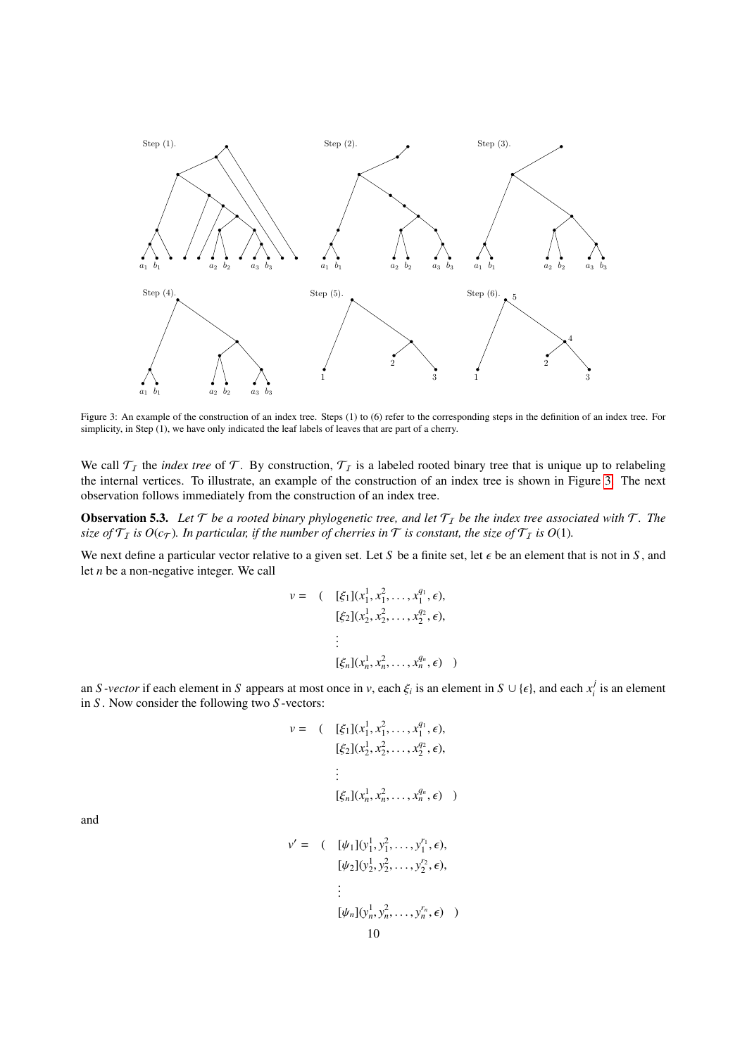

<span id="page-9-0"></span>Figure 3: An example of the construction of an index tree. Steps (1) to (6) refer to the corresponding steps in the definition of an index tree. For simplicity, in Step (1), we have only indicated the leaf labels of leaves that are part of a cherry.

We call  $\mathcal{T}_I$  the *index tree* of  $\mathcal{T}$ . By construction,  $\mathcal{T}_I$  is a labeled rooted binary tree that is unique up to relabeling the internal vertices. To illustrate, an example of the construction of an index tree is shown in Figure [3.](#page-9-0) The next observation follows immediately from the construction of an index tree.

**Observation 5.3.** Let  $\mathcal T$  *be a rooted binary phylogenetic tree, and let*  $\mathcal T_I$  *be the index tree associated with*  $\mathcal T$ *. The size of*  $\mathcal{T}_I$  *is O*( $c_{\mathcal{T}}$ *). In particular, if the number of cherries in*  $\mathcal{T}$  *is constant, the size of*  $\mathcal{T}_I$  *is O*(1)*.* 

We next define a particular vector relative to a given set. Let *S* be a finite set, let  $\epsilon$  be an element that is not in *S*, and let *n* be a non-negative integer. We call

$$
v = (\xi_1](x_1^1, x_1^2, \dots, x_1^{q_1}, \epsilon),
$$
  

$$
[\xi_2](x_2^1, x_2^2, \dots, x_2^{q_2}, \epsilon),
$$
  

$$
\vdots
$$
  

$$
[\xi_n](x_n^1, x_n^2, \dots, x_n^{q_n}, \epsilon)
$$

an *S*-*vector* if each element in *S* appears at most once in *v*, each  $\xi_i$  is an element in *S* ∪ { $\epsilon$ }, and each  $x_i^j$ <br>in *S* Now consider the following two *S*-vectors:  $\frac{J}{i}$  is an element in *S* . Now consider the following two *S* -vectors:

$$
v = (\xi_1](x_1^1, x_1^2, \dots, x_1^{q_1}, \epsilon),
$$
  
\n
$$
[\xi_2](x_2^1, x_2^2, \dots, x_2^{q_2}, \epsilon),
$$
  
\n
$$
\vdots
$$
  
\n
$$
[\xi_n](x_n^1, x_n^2, \dots, x_n^{q_n}, \epsilon) )
$$
  
\n
$$
v' = (\psi_1](y_1^1, y_1^2, \dots, y_1^{r_1}, \epsilon),
$$
  
\n
$$
[\psi_2](y_2^1, y_2^2, \dots, y_2^{r_2}, \epsilon),
$$

and

$$
= (\psi_1 | (y_1, y_1, \dots, y_1^r, \epsilon), [\psi_2] (y_2^1, y_2^2, \dots, y_2^{r_2}, \epsilon),:\n[\psi_n] (y_n^1, y_n^2, \dots, y_n^{r_n}, \epsilon)
$$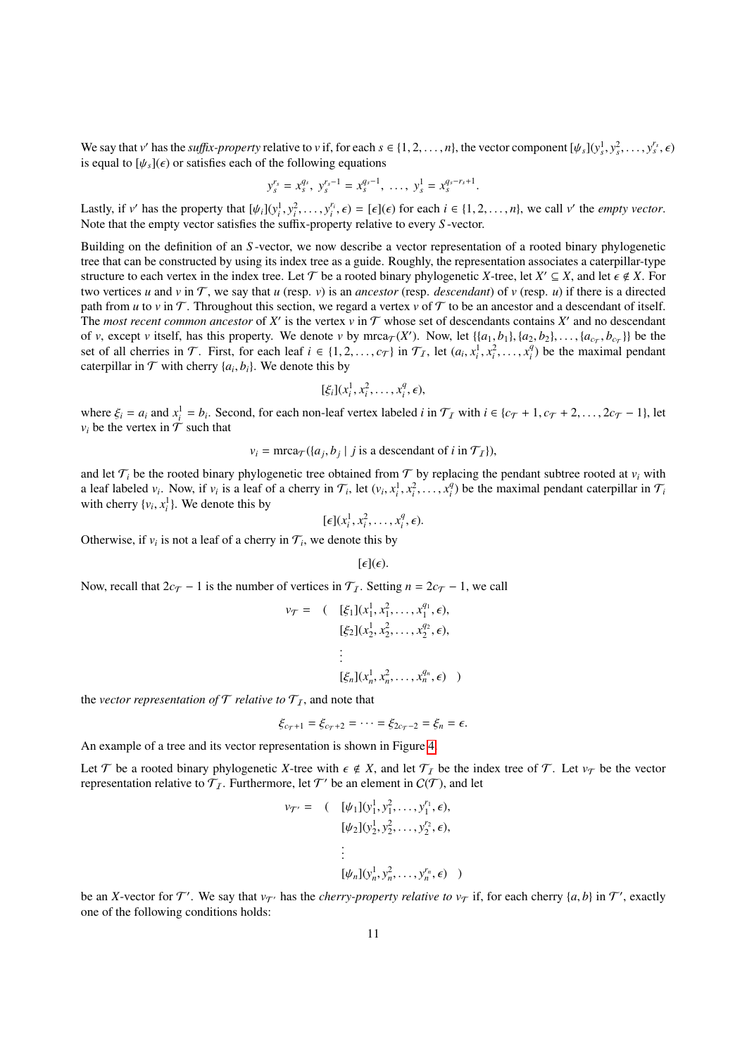We say that v' has the *suffix-property* relative to v if, for each  $s \in \{1, 2, ..., n\}$ , the vector component  $[\psi_s](y_s^1, y_s^2, ..., y_s^{r_s}, \epsilon)$ <br>is equal to  $[\psi_s](\epsilon)$  or satisfies each of the following equations is equal to  $[\psi_s](\epsilon)$  or satisfies each of the following equations

$$
y_s^{r_s} = x_s^{q_s}, y_s^{r_s-1} = x_s^{q_s-1}, \ldots, y_s^1 = x_s^{q_s-r_s+1}.
$$

Lastly, if v' has the property that  $[\psi_i](y_i^1, y_i^2, \dots, y_i^{r_i}, \epsilon) = [\epsilon](\epsilon)$  for each  $i \in \{1, 2, \dots, n\}$ , we call v' the *empty vector*.<br>Note that the empty vector satisfies the suffix-property relative to every S-vector. Note that the empty vector satisfies the suffix-property relative to every *S* -vector.

Building on the definition of an *S* -vector, we now describe a vector representation of a rooted binary phylogenetic tree that can be constructed by using its index tree as a guide. Roughly, the representation associates a caterpillar-type structure to each vertex in the index tree. Let  $\mathcal{T}$  be a rooted binary phylogenetic *X*-tree, let  $X' \subseteq X$ , and let  $\epsilon \notin X$ . For two vertices *u* and *v* in T, we say that *u* (resp. *v*) is an *ancestor* (resp. *descendant*) of *v* (resp. *u*) if there is a directed path from *u* to *v* in  $\mathcal{T}$ . Throughout this section, we regard a vertex *v* of  $\mathcal{T}$  to be an ancestor and a descendant of itself. The *most recent common ancestor* of  $X'$  is the vertex  $v$  in  $T$  whose set of descendants contains  $X'$  and no descendant of *v*, except *v* itself, has this property. We denote *v* by mrca $\tau(X')$ . Now, let  $\{a_1, b_1\}$ ,  $\{a_2, b_2\}$ , ...,  $\{a_{c\tau}, b_{c\tau}\}$  be the set of all cherries in  $\tau$ . First, for each leaf  $i \in \{1, 2, \ldots, c_{\tau}\}$  in set of all cherries in  $\mathcal{T}$ . First, for each leaf  $i \in \{1, 2, ..., c_{\mathcal{T}}\}$  in  $\mathcal{T}_I$ , let  $(a_i, x_i^T, x_i^2, ..., x_i^q)$ <br>caternillar in  $\mathcal{T}$  with cherry  $\{a_i, b_i\}$ . We denote this by  $\binom{q}{i}$  be the maximal pendant caterpillar in  $\mathcal T$  with cherry  $\{a_i, b_i\}$ . We denote this by

$$
[\xi_i](x_i^1, x_i^2, \ldots, x_i^q, \epsilon),
$$

where  $\xi_i = a_i$  and  $x_i^1 = b_i$ . Second, for each non-leaf vertex labeled *i* in  $\mathcal{T}_I$  with  $i \in \{c_T + 1, c_T + 2, ..., 2c_T - 1\}$ , let  $v_i$  be the vertex in  $\overrightarrow{T}$  such that

$$
v_i = \text{mrca}_{\mathcal{T}}(\lbrace a_j, b_j | j \text{ is a descendant of } i \text{ in } \mathcal{T}_I \rbrace),
$$

and let  $\mathcal{T}_i$  be the rooted binary phylogenetic tree obtained from  $\mathcal{T}$  by replacing the pendant subtree rooted at  $v_i$  with a leaf labeled  $v_i$ . Now, if  $v_i$  is a leaf of a cherry in  $\mathcal{T}_i$ , let  $(v_i, x_i^1, x_i^2, \ldots, x_i^q$ <br>with cherry  $\{v_i, x_i^1\}$ . We denote this by  $\tau_i^q$ ) be the maximal pendant caterpillar in  $\tau_i$ with cherry  $\{v_i, x_i^1\}$ . We denote this by

$$
[\epsilon](x_i^1, x_i^2, \dots, x_i^q, \epsilon).
$$

Otherwise, if  $v_i$  is not a leaf of a cherry in  $\mathcal{T}_i$ , we denote this by

 $[\epsilon](\epsilon)$ .

Now, recall that  $2c_T - 1$  is the number of vertices in  $T_I$ . Setting  $n = 2c_T - 1$ , we call

$$
v_{\mathcal{T}} = (\xi_1](x_1^1, x_1^2, \dots, x_1^{q_1}, \epsilon),
$$
  

$$
[\xi_2](x_2^1, x_2^2, \dots, x_2^{q_2}, \epsilon),
$$
  

$$
\vdots
$$
  

$$
[\xi_n](x_n^1, x_n^2, \dots, x_n^{q_n}, \epsilon)
$$

the *vector representation of*  $\mathcal T$  *relative to*  $\mathcal T_I$ , and note that

$$
\xi_{c_{\mathcal{T}}+1} = \xi_{c_{\mathcal{T}}+2} = \cdots = \xi_{2c_{\mathcal{T}}-2} = \xi_n = \epsilon.
$$

An example of a tree and its vector representation is shown in Figure [4.](#page-11-0)

Let T be a rooted binary phylogenetic X-tree with  $\epsilon \notin X$ , and let  $\mathcal{T}_I$  be the index tree of T. Let  $v_\tau$  be the vector representation relative to  $\mathcal{T}_I$ . Furthermore, let  $\mathcal{T}'$  be an element in  $C(\mathcal{T})$ , and let

$$
v_{\mathcal{T}'} = (\psi_1] (y_1^1, y_1^2, \dots, y_1^{r_1}, \epsilon), [\psi_2] (y_2^1, y_2^2, \dots, y_2^{r_2}, \epsilon), \vdots [\psi_n] (y_n^1, y_n^2, \dots, y_n^{r_n}, \epsilon)
$$
 )

be an *X*-vector for  $\mathcal{T}'$ . We say that  $v_{\mathcal{T}'}$  has the *cherry-property relative to*  $v_{\mathcal{T}}$  if, for each cherry {*a*, *b*} in  $\mathcal{T}'$ , exactly one of the following conditions holds: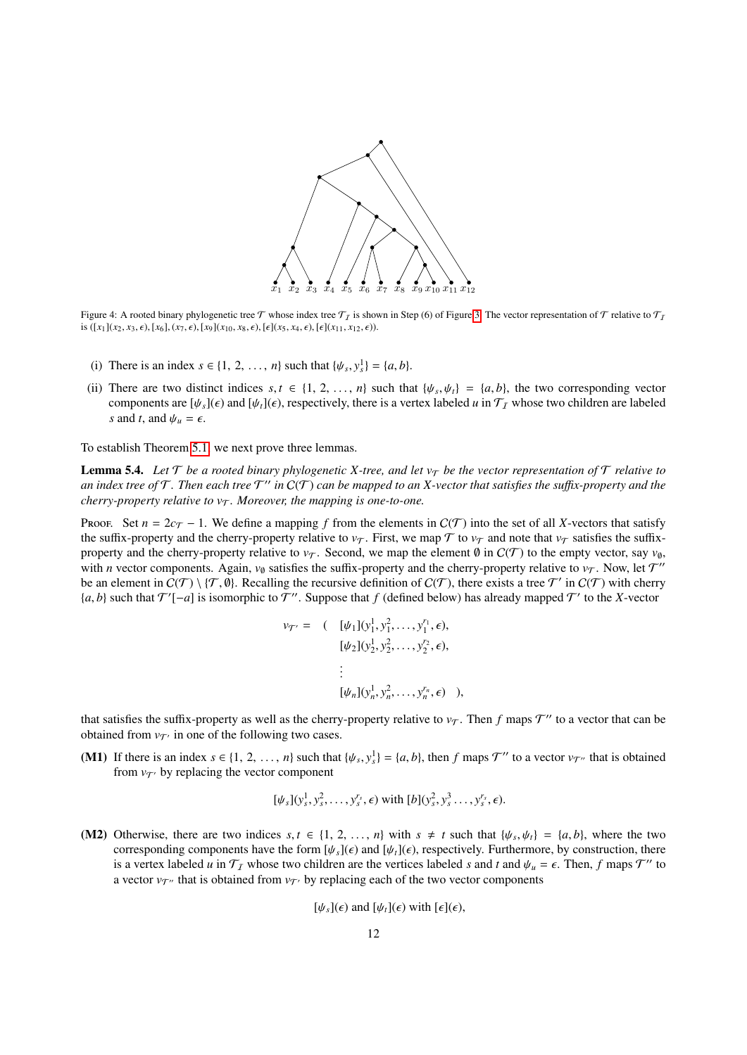

<span id="page-11-0"></span>Figure 4: A rooted binary phylogenetic tree  $\mathcal T$  whose index tree  $\mathcal T_I$  is shown in Step (6) of Figure [3.](#page-9-0) The vector representation of  $\mathcal T$  relative to  $\mathcal T_I$ is  $([x_1](x_2, x_3, \epsilon), [x_6], (x_7, \epsilon), [x_9](x_{10}, x_8, \epsilon), [\epsilon](x_5, x_4, \epsilon), [\epsilon](x_{11}, x_{12}, \epsilon)).$ 

- (i) There is an index  $s \in \{1, 2, ..., n\}$  such that  $\{\psi_s, y_s^1\} = \{a, b\}.$
- (ii) There are two distinct indices  $s, t \in \{1, 2, ..., n\}$  such that  $\{\psi_s, \psi_t\} = \{a, b\}$ , the two corresponding vector components are  $\{u_k\}_{k \in \mathbb{N}}$  and  $\{u_k\}_{k \in \mathbb{N}}$  respectively there is a vertex labeled u in  $\mathcal{T}_{$ components are  $[\psi_s](\epsilon)$  and  $[\psi_t](\epsilon)$ , respectively, there is a vertex labeled *u* in  $\mathcal{T}_I$  whose two children are labeled *s* and *t*, and  $\psi_u = \epsilon$ .

To establish Theorem [5.1,](#page-8-1) we next prove three lemmas.

<span id="page-11-1"></span>**Lemma 5.4.** Let  $\mathcal T$  be a rooted binary phylogenetic X-tree, and let  $v_{\mathcal T}$  be the vector representation of  $\mathcal T$  relative to an index tree of T. Then each tree T'' in  $C(T)$  can be mapped to an X-vector that satisfies the suffix-property and the *cherry-property relative to*  $v_T$ *. Moreover, the mapping is one-to-one.* 

Proof. Set  $n = 2c_T - 1$ . We define a mapping f from the elements in  $C(\mathcal{T})$  into the set of all *X*-vectors that satisfy the suffix-property and the cherry-property relative to  $v_{\tau}$ . First, we map  $\tau$  to  $v_{\tau}$  and note that  $v_{\tau}$  satisfies the suffixproperty and the cherry-property relative to  $v_T$ . Second, we map the element  $\emptyset$  in  $C(\mathcal{T})$  to the empty vector, say  $v_{\emptyset}$ , with *n* vector components. Again,  $v_{\emptyset}$  satisfies the suffix-property and the cherry-property relative to  $v_{\mathcal{T}}$ . Now, let  $\mathcal{T}''$ be an element in  $C(\mathcal{T}) \setminus \{T, \emptyset\}$ . Recalling the recursive definition of  $C(\mathcal{T})$ , there exists a tree  $\mathcal{T}'$  in  $C(\mathcal{T})$  with cherry  $I_a$  b) such that  $\mathcal{T}'[a]$  is isomorphic to  $\mathcal{T}''$ . Suppose that f (defined be  $\{a, b\}$  such that  $\mathcal{T}'[-a]$  is isomorphic to  $\mathcal{T}''$ . Suppose that *f* (defined below) has already mapped  $\mathcal{T}'$  to the *X*-vector

$$
v_{\mathcal{T}'} = ( [\psi_1] (y_1^1, y_1^2, \dots, y_1^{r_1}, \epsilon), [\psi_2] (y_2^1, y_2^2, \dots, y_2^{r_2}, \epsilon), \vdots [\psi_n] (y_n^1, y_n^2, \dots, y_n^{r_n}, \epsilon) ),
$$

that satisfies the suffix-property as well as the cherry-property relative to  $v_T$ . Then f maps  $T''$  to a vector that can be obtained from  $v_{\tau}$  in one of the following two cases.

(M1) If there is an index  $s \in \{1, 2, ..., n\}$  such that  $\{\psi_s, y_s^1\} = \{a, b\}$ , then *f* maps  $\mathcal{T}''$  to a vector  $v_{\mathcal{T}''}$  that is obtained from  $v_{\mathcal{T}''}$  by replacing the vector component from  $v_T$ , by replacing the vector component

$$
[\psi_s](y_s^1, y_s^2, \ldots, y_s^{r_s}, \epsilon) \text{ with } [b](y_s^2, y_s^3, \ldots, y_s^{r_s}, \epsilon).
$$

(M2) Otherwise, there are two indices  $s, t \in \{1, 2, ..., n\}$  with  $s \neq t$  such that  $\{\psi_s, \psi_t\} = \{a, b\}$ , where the two corresponding components have the form  $\psi_s$  ( $\epsilon$ ) and  $\psi_t$  ( $\epsilon$ ) respectively. Furthermore, by constr corresponding components have the form  $[\psi_s](\epsilon)$  and  $[\psi_t](\epsilon)$ , respectively. Furthermore, by construction, there is a vertex labeled *u* in  $\mathcal{T}_I$  whose two children are the vertices labeled *s* and *t* and  $\psi_u = \epsilon$ . Then, *f* maps  $\mathcal{T}''$  to a vector v<sub>in</sub> that is obtained from v<sub>in</sub> by replacing each of the two vector component a vector  $v_{\mathcal{T}''}$  that is obtained from  $v_{\mathcal{T}'}$  by replacing each of the two vector components

$$
[\psi_s](\epsilon) \text{ and } [\psi_t](\epsilon) \text{ with } [\epsilon](\epsilon),
$$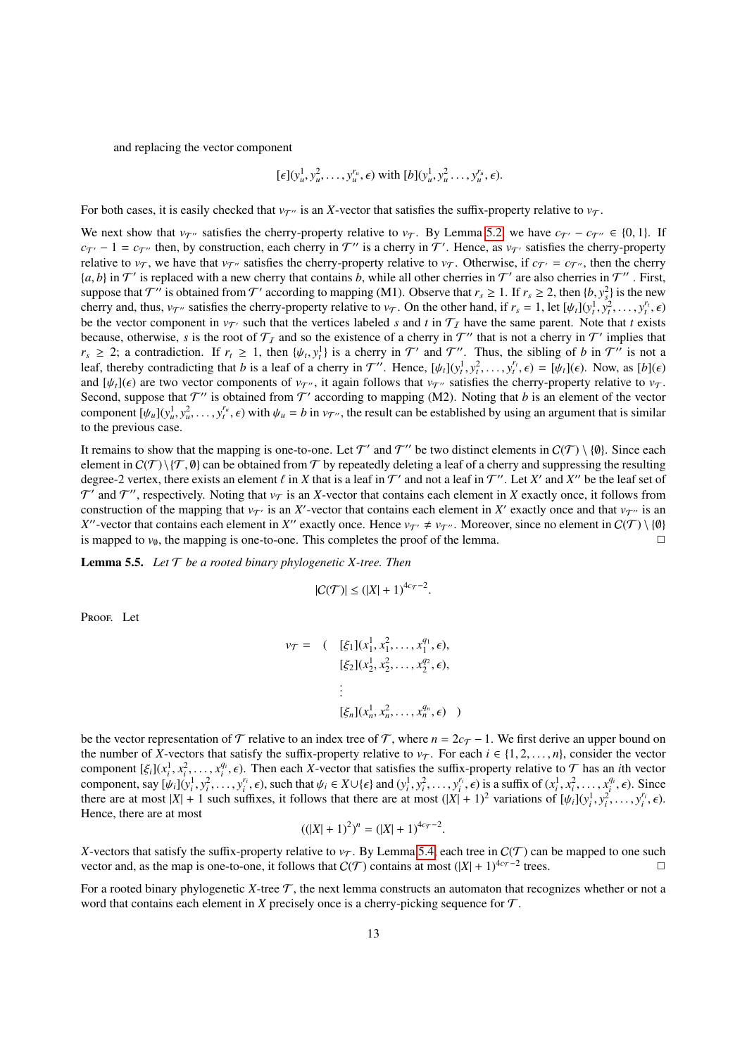and replacing the vector component

$$
[\epsilon](y_u^1, y_u^2, \dots, y_u^{r_u}, \epsilon)
$$
 with  $[b](y_u^1, y_u^2, \dots, y_u^{r_u}, \epsilon)$ .

For both cases, it is easily checked that  $v_T$ <sup>0</sup> is an *X*-vector that satisfies the suffix-property relative to  $v_T$ .

We next show that *v*<sub>T'</sub> satisfies the cherry-property relative to *v*<sub>T</sub>. By Lemma [5.2,](#page-8-2) we have  $c_{T'} - c_{T''} \in \{0, 1\}$ . If  $c_{\mathcal{T}'}$  – 1 =  $c_{\mathcal{T}''}$  then, by construction, each cherry in  $\mathcal{T}''$  is a cherry in  $\mathcal{T}'$ . Hence, as  $v_{\mathcal{T}'}$  satisfies the cherry-property relative to  $v_T$ , we have that  $v_T$ <sup>*w*</sup> satisfies the cherry-property relative to  $v_T$ . Otherwise, if  $c_T$ <sup>*i*</sup> =  $c_T$ <sup>*i*</sup>, then the cherry {*a*, *b*} in  $\mathcal{T}'$  is replaced with a new cherry that contains *b*, while all other cherries in  $\mathcal{T}'$  are also cherries in  $\mathcal{T}''$ . First, suppose that  $\mathcal{T}''$  is obtained from  $\mathcal{T}'$  according to manning (M1). Ob suppose that  $T''$  is obtained from  $T'$  according to mapping (M1). Observe that  $r_s \ge 1$ . If  $r_s \ge 2$ , then  $\{b, y_s^2\}$  is the new cherry and thus  $y_{\tau s}$  existence the cherry-property relative to  $y_{\tau s}$ . On the other cherry and, thus,  $v_{\mathcal{T}}$ , satisfies the cherry-property relative to  $v_{\mathcal{T}}$ . On the other hand, if  $r_s = 1$ , let  $[\psi_t](v_t^1, v_t^2, \dots, v_t^{r_t}, \epsilon)$ be the vector component in  $v_T$  such that the vertices labeled *s* and *t* in  $\mathcal{T}_I$  have the same parent. Note that *t* exists because, otherwise, *s* is the root of  $\mathcal{T}_I$  and so the existence of a cherry in  $\mathcal{T}'$  that is not a cherry in  $\mathcal{T}'$  implies that  $r_s \ge 2$ ; a contradiction. If  $r_t \ge 1$ , then  $\{\psi_t, y_t^1\}$  is a cherry in T' and T''. Thus, the sibling of *b* in T'' is not a leaf thereby contradicting that *b* is a leaf of a cherry in T''. Hence  $\left[\psi_t\right]_{\mathcal{M}}^{1}$ , leaf, thereby contradicting that *b* is a leaf of a cherry in  $\mathcal{T}''$ . Hence,  $[\psi_t](y_t^1, y_t^2, \dots, y_t^{r_t}, \epsilon) = [\psi_t](\epsilon)$ . Now, as  $[b](\epsilon)$ and  $[\psi_t](\epsilon)$  are two vector components of  $\nu_{\tau}$ , it again follows that  $\nu_{\tau}$  satisfies the cherry-property relative to  $\nu_{\tau}$ . Second, suppose that  $T''$  is obtained from  $T'$  according to mapping (M2). Noting that *b* is an element of the vector component  $[\psi_u](y_u^1, y_u^2, \dots, y_t^{r_u}, \epsilon)$  with  $\psi_u = b$  in  $v_{\tau}$ , the result can be established by using an argument that is similar to the previous case to the previous case.

It remains to show that the mapping is one-to-one. Let T' and T'' be two distinct elements in  $C(\mathcal{T}) \setminus \{0\}$ . Since each element in  $C(\mathcal{T})\setminus{\{\mathcal{T},\emptyset\}}$  can be obtained from  $\mathcal T$  by repeatedly deleting a leaf of a cherry and suppressing the resulting degree-2 vertex, there exists an element  $\ell$  in *X* that is a leaf in  $\mathcal{T}'$  and not a leaf in  $\mathcal{T}''$ . Let *X'* and *X''* be the leaf set of  $\mathcal{T}'$  and  $\mathcal{T}''$  respectively. Noting that  $y_{\mathcal{T}}$  is an *X*-vector th  $T'$  and  $T''$ , respectively. Noting that  $v_T$  is an *X*-vector that contains each element in *X* exactly once, it follows from construction of the mapping that  $v_{\tau}$  is an *X*'-vector that contains each element in *X*' exactly once and that  $v_{\tau}$ <sup>*n*</sup> is an *X*<sup>*n*</sup>-vector that contains each element in *X<sup><i>n*</sup> exactly once. Hence  $v_T \neq v_T$ . Moreover, since no element in  $C(T) \setminus \{0\}$ is mapped to  $v_{\emptyset}$ , the mapping is one-to-one. This completes the proof of the lemma.  $\Box$ 

<span id="page-12-0"></span>Lemma 5.5. *Let* T *be a rooted binary phylogenetic X-tree. Then*

$$
|C(\mathcal{T})| \le (|X|+1)^{4c_{\mathcal{T}}-2}.
$$

PROOF. Let

$$
v_{\mathcal{T}} = ( [\xi_1](x_1^1, x_1^2, \dots, x_1^{q_1}, \epsilon), [\xi_2](x_2^1, x_2^2, \dots, x_2^{q_2}, \epsilon), \vdots [\xi_n](x_n^1, x_n^2, \dots, x_n^{q_n}, \epsilon) )
$$

be the vector representation of  $\mathcal T$  relative to an index tree of  $\mathcal T$ , where  $n = 2c_{\mathcal T} - 1$ . We first derive an upper bound on the number of *X*-vectors that satisfy the suffix-property relative to  $v_T$ . For each  $i \in \{1, 2, ..., n\}$ , consider the vector component  $[\xi_i](x_i^1, x_i^2, \dots, x_i^{q_i}, \epsilon)$ . Then each *X*-vector that satisfies the suffix-property relative to  $\mathcal{T}$  has an *i*th vector component say  $\frac{[u \cdot 1](y^1, y^2, \dots, y_i^{r_i}, \epsilon)}{y^{r_i} \cdot \epsilon}$  such that  $u_i \in X \cup \{ \epsilon \}$  a component, say  $[\psi_i](y_i^1, y_i^2, \dots, y_i^r, \epsilon)$ , such that  $\psi_i \in X \cup \{\epsilon\}$  and  $(y_i^1, y_i^2, \dots, y_i^r, \epsilon)$  is a suffix of  $(x_i^1, x_i^2, \dots, x_i^q, \epsilon)$ . Since there are at most  $|X| + 1$  such suffixes, it follows that there are at most  $(|X| + 1)^2$  variations of  $[\psi_i](y_i^1, y_i^2, \dots, y_i^{r_i}, \epsilon)$ . Hence, there are at most

$$
((|X|+1)^2)^n = (|X|+1)^{4c_{\mathcal{T}}-2}.
$$

*X*-vectors that satisfy the suffix-property relative to  $v_T$ . By Lemma [5.4,](#page-11-1) each tree in  $C(\mathcal{T})$  can be mapped to one such vector and, as the map is one-to-one, it follows that  $C(\mathcal{T})$  contains at most  $(|X| + 1)^{4c_{\mathcal{T}}-2}$  trees.

<span id="page-12-1"></span>For a rooted binary phylogenetic *X*-tree  $\mathcal{T}$ , the next lemma constructs an automaton that recognizes whether or not a word that contains each element in *X* precisely once is a cherry-picking sequence for  $\mathcal{T}$ .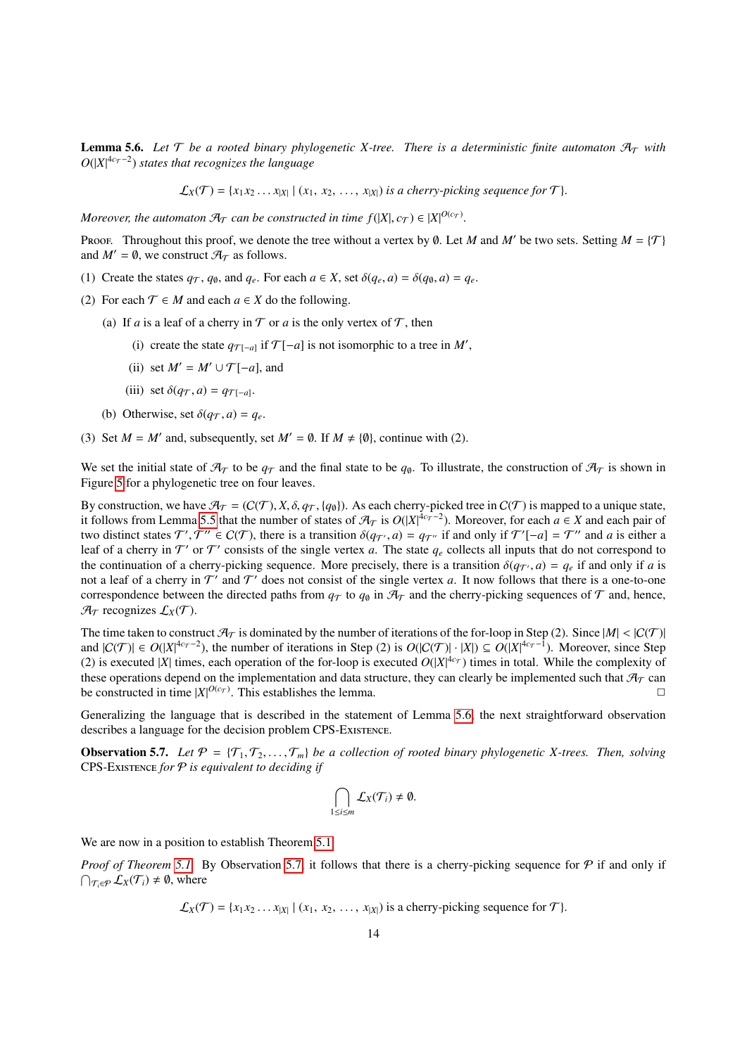**Lemma 5.6.** Let  $\mathcal T$  be a rooted binary phylogenetic X-tree. There is a deterministic finite automaton  $\mathcal A_{\mathcal T}$  with  $O(|X|^{4c_{\mathcal{T}}-2})$  *states that recognizes the language* 

 $\mathcal{L}_X(\mathcal{T}) = \{x_1 x_2 \dots x_{|X|} \mid (x_1, x_2, \dots, x_{|X|}) \text{ is a cherry-picking sequence for } \mathcal{T} \}.$ 

*Moreover, the automaton*  $\mathcal{A}_{\mathcal{T}}$  *can be constructed in time*  $f(|X|, c_{\mathcal{T}}) \in |X|^{O(c_{\mathcal{T}})}$ .

Proof. Throughout this proof, we denote the tree without a vertex by  $\emptyset$ . Let *M* and *M'* be two sets. Setting  $M = \{T\}$ and  $M' = \emptyset$ , we construct  $\mathcal{A}_{\mathcal{T}}$  as follows.

- (1) Create the states  $q_{\tau}$ ,  $q_{\theta}$ , and  $q_{e}$ . For each  $a \in X$ , set  $\delta(q_{e}, a) = \delta(q_{\theta}, a) = q_{e}$ .
- (2) For each  $\mathcal{T} \in M$  and each  $a \in X$  do the following.
	- (a) If *a* is a leaf of a cherry in  $T$  or *a* is the only vertex of  $T$ , then
		- (i) create the state  $q_{\mathcal{T}[-a]}$  if  $\mathcal{T}[-a]$  is not isomorphic to a tree in *M'*,
		- (ii) set  $M' = M' \cup T[-a]$ , and
		- (iii) set  $\delta(q_T, a) = q_{T[-a]}$ .
	- (b) Otherwise, set  $\delta(q_T, a) = q_e$ .
- (3) Set  $M = M'$  and, subsequently, set  $M' = \emptyset$ . If  $M \neq \{\emptyset\}$ , continue with (2).

We set the initial state of  $\mathcal{A}_T$  to be  $q_T$  and the final state to be  $q_0$ . To illustrate, the construction of  $\mathcal{A}_T$  is shown in Figure [5](#page-14-0) for a phylogenetic tree on four leaves.

By construction, we have  $\mathcal{A}_{\mathcal{T}} = (C(\mathcal{T}), X, \delta, q_{\mathcal{T}}, \{q_{\emptyset}\})$ . As each cherry-picked tree in  $C(\mathcal{T})$  is mapped to a unique state, it follows from Lemma [5.5](#page-12-0) that the number of states of  $\mathcal{A}_{\mathcal{T}}$  is  $O(|X|^{4c_{\mathcal{T}}-2})$ . Moreover, for each  $a \in X$  and each pair of two distinct states  $T', T'' \in C(T)$ , there is a transition  $\delta(q_T, a) = q_{T''}$  if and only if  $T'[-a] = T''$  and *a* is either a<br>leaf of a cherry in T' or T' consists of the single vertex *a*. The state *a*, collects all inputs that leaf of a cherry in  $\mathcal{T}'$  or  $\mathcal{T}'$  consists of the single vertex *a*. The state  $q_e$  collects all inputs that do not correspond to the continuation of a cherry-picking sequence. More precisely, there is a transition  $\delta(q_T, a) = q_e$  if and only if *a* is not a leaf of a cherry in  $T'$  and  $T'$  does not consist of the single vertex *a*. It now follows that there is a one-to-one correspondence between the directed paths from  $q_T$  to  $q_\emptyset$  in  $\mathcal{A}_T$  and the cherry-picking sequences of  $\mathcal T$  and, hence,  $\mathcal{A}_{\mathcal{T}}$  recognizes  $\mathcal{L}_X(\mathcal{T})$ .

The time taken to construct  $\mathcal{A}_{\mathcal{T}}$  is dominated by the number of iterations of the for-loop in Step (2). Since  $|M| < |C(\mathcal{T})|$ and  $|C(\mathcal{T})|$  ∈  $O(|X|^{4c_{\mathcal{T}}-2})$ , the number of iterations in Step (2) is  $O(|C(\mathcal{T})| \cdot |X|) \subseteq O(|X|^{4c_{\mathcal{T}}-1})$ . Moreover, since Step (2) is executed |X| times, each operation of the for-loop is executed  $O(|X|^{4c_{\tau}})$  times in total. While the complexity of these operations depend on the implementation and data structure, they can clearly be implemented such that  $\mathcal{H}_T$  can be constructed in time  $|X|^{O(c_{\mathcal{T}})}$ . This establishes the lemma.

Generalizing the language that is described in the statement of Lemma [5.6,](#page-12-1) the next straightforward observation describes a language for the decision problem CPS-Existence.

<span id="page-13-0"></span>**Observation 5.7.** Let  $\mathcal{P} = \{T_1, T_2, \ldots, T_m\}$  be a collection of rooted binary phylogenetic X-trees. Then, solving CPS-Existence *for* P *is equivalent to deciding if*

$$
\bigcap_{1\leq i\leq m}\mathcal{L}_X(\mathcal{T}_i)\neq\emptyset.
$$

We are now in a position to establish Theorem [5.1.](#page-8-1)

*Proof of Theorem [5.1.](#page-8-1)* By Observation [5.7,](#page-13-0) it follows that there is a cherry-picking sequence for  $\mathcal P$  if and only if  $\bigcap_{\mathcal{T}_i \in \mathcal{P}} \mathcal{L}_X(\mathcal{T}_i) \neq \emptyset$ , where

$$
\mathcal{L}_X(\mathcal{T}) = \{x_1x_2 \dots x_{|X|} \mid (x_1, x_2, \dots, x_{|X|}) \text{ is a cherry-picking sequence for } \mathcal{T}\}.
$$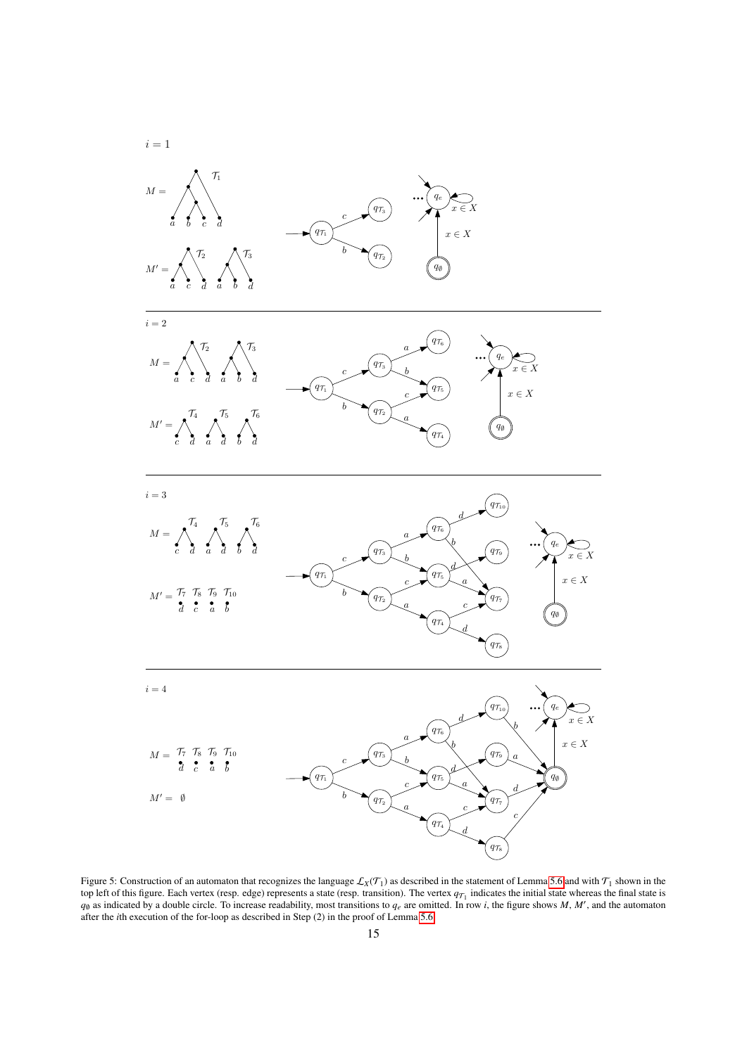

<span id="page-14-0"></span>Figure 5: Construction of an automaton that recognizes the language  $\mathcal{L}_X(\mathcal{T}_1)$  as described in the statement of Lemma [5.6](#page-12-1) and with  $\mathcal{T}_1$  shown in the top left of this figure. Each vertex (resp. edge) represents a state (resp. transition). The vertex  $q_{\tau_1}$  indicates the initial state whereas the final state is  $q_{\theta}$  as indicated by a double circle. To increase readability, most transitions to  $q_e$  are omitted. In row *i*, the figure shows *M*, *M'*, and the automaton after the *i*th execution of the for-loop as described in Step (2) in the proof of Lemma [5.6.](#page-12-1)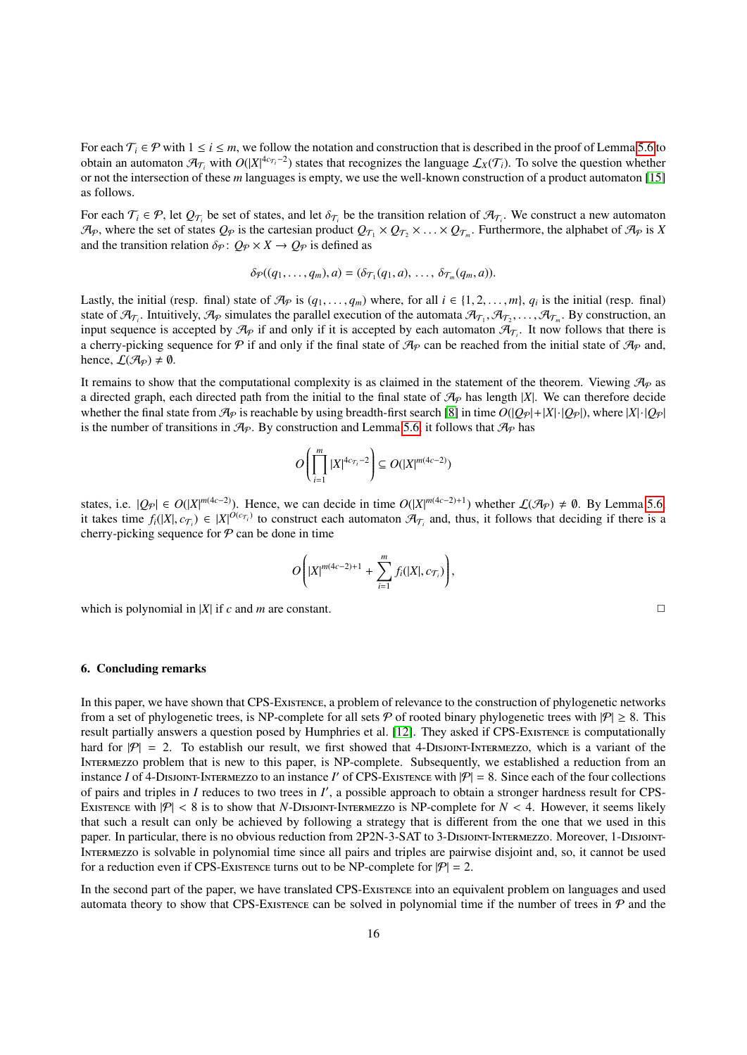For each  $\mathcal{T}_i \in \mathcal{P}$  with  $1 \le i \le m$ , we follow the notation and construction that is described in the proof of Lemma [5.6](#page-12-1) to obtain an automaton  $\mathcal{A}_{\mathcal{T}_i}$  with  $O(|X|^{4c_{\mathcal{T}_i}-2})$  states that recognizes the language  $\mathcal{L}_X(\mathcal{T}_i)$ . To solve the question whether or not the intersection of these *m* languages is empty, we use the well-known construction of a product automaton [\[15\]](#page-16-18) as follows.

For each  $\mathcal{T}_i \in \mathcal{P}$ , let  $Q_{\mathcal{T}_i}$  be set of states, and let  $\delta_{\mathcal{T}_i}$  be the transition relation of  $\mathcal{A}_{\mathcal{T}_i}$ . We construct a new automaton  $\mathcal{A}_{\infty}$  where the set of states  $Q_{\infty}$  is the cartesian  $\mathcal{A}_P$ , where the set of states  $Q_P$  is the cartesian product  $Q_{\mathcal{T}_1} \times Q_{\mathcal{T}_2} \times \ldots \times Q_{\mathcal{T}_m}$ . Furthermore, the alphabet of  $\mathcal{A}_P$  is *X* and the transition relation  $\delta_Q: Q_Q \times X \to Q_Q$  is defined as and the transition relation  $\delta \varphi$  :  $Q_{\varphi} \times X \to Q_{\varphi}$  is defined as

$$
\delta_{\mathcal{P}}((q_1,\ldots,q_m),a)=(\delta_{\mathcal{T}_1}(q_1,a),\ldots,\delta_{\mathcal{T}_m}(q_m,a)).
$$

Lastly, the initial (resp. final) state of  $\mathcal{A}_P$  is  $(q_1, \ldots, q_m)$  where, for all  $i \in \{1, 2, \ldots, m\}$ ,  $q_i$  is the initial (resp. final) state of  $\mathcal{A}_{\tau}$ . Intuitively  $\mathcal{A}_{\sigma}$  simulates the parallel execution of state of  $\mathcal{A}_{\mathcal{T}_i}$ . Intuitively,  $\mathcal{A}_{\mathcal{P}}$  simulates the parallel execution of the automata  $\mathcal{A}_{\mathcal{T}_1}, \mathcal{A}_{\mathcal{T}_2}, \ldots, \mathcal{A}_{\mathcal{T}_m}$ . By construction, and input sequence is accepted by  $\mathcal{A}_{\mathcal{P}}$  if an input sequence is accepted by  $\mathcal{A}_p$  if and only if it is accepted by each automaton  $\mathcal{A}_{\mathcal{T}_i}$ . It now follows that there is a cherry-picking sequence for P if and only if the final state of  $\mathcal{A}_P$  can be reached from the initial state of  $\mathcal{A}_P$  and, hence,  $\mathcal{L}(\mathcal{A}_{\varphi}) \neq \emptyset$ .

It remains to show that the computational complexity is as claimed in the statement of the theorem. Viewing  $\mathcal{A}_P$  as a directed graph, each directed path from the initial to the final state of  $\mathcal{A}_P$  has length |*X*|. We can therefore decide whether the final state from  $\mathcal{A}_P$  is reachable by using breadth-first search [\[8\]](#page-16-19) in time  $O(|Q_P|+|X|\cdot|Q_P|)$ , where  $|X|\cdot|Q_P|$ is the number of transitions in  $\mathcal{A}_{\mathcal{P}}$ . By construction and Lemma [5.6,](#page-12-1) it follows that  $\mathcal{A}_{\mathcal{P}}$  has

$$
O\left(\prod_{i=1}^m |X|^{4c_{\mathcal{T}_i}-2}\right) \subseteq O(|X|^{m(4c-2)})
$$

states, i.e.  $|Q_P| \in O(|X|^{m(4c-2)})$ . Hence, we can decide in time  $O(|X|^{m(4c-2)+1})$  whether  $\mathcal{L}(\mathcal{A}_P) \neq \emptyset$ . By Lemma [5.6,](#page-12-1) it takes time  $f_i(|X|, c_{\mathcal{T}_i}) \in |X|^{O(c_{\mathcal{T}_i})}$  to construct each automaton  $\mathcal{A}_{\mathcal{T}_i}$  and, thus, it follows that deciding if there is a cherry-picking sequence for  $\mathcal{P}$  can be done in time cherry-picking sequence for  $P$  can be done in time

$$
O\left(|X|^{m(4c-2)+1}+\sum_{i=1}^m f_i(|X|,c_{\mathcal{T}_i})\right),
$$

which is polynomial in |*X*| if *c* and *m* are constant.  $\Box$ 

#### <span id="page-15-0"></span>6. Concluding remarks

In this paper, we have shown that CPS-Existence, a problem of relevance to the construction of phylogenetic networks from a set of phylogenetic trees, is NP-complete for all sets P of rooted binary phylogenetic trees with  $|\mathcal{P}| \geq 8$ . This result partially answers a question posed by Humphries et al. [\[12\]](#page-16-12). They asked if CPS-Existence is computationally hard for  $|\mathcal{P}| = 2$ . To establish our result, we first showed that 4-Disjoint-Intermezzo, which is a variant of the Intermezzo problem that is new to this paper, is NP-complete. Subsequently, we established a reduction from an instance *I* of 4-Disjoint-Intermezzo to an instance *I'* of CPS-Existence with  $|\mathcal{P}| = 8$ . Since each of the four collections of pairs and triples in *I* reduces to two trees in *I'*, a possible approach to obtain a stronger hardness result for CPS-EXISTENCE with  $|\mathcal{P}| < 8$  is to show that *N*-DISJOINT-INTERMEZZO is NP-complete for  $N < 4$ . However, it seems likely that such a result can only be achieved by following a strategy that is different from the one that we used in this paper. In particular, there is no obvious reduction from 2P2N-3-SAT to 3-Disjoint-Intermezzo. Moreover, 1-Disjoint-Intermezzo is solvable in polynomial time since all pairs and triples are pairwise disjoint and, so, it cannot be used for a reduction even if CPS-Existence turns out to be NP-complete for  $|\mathcal{P}| = 2$ .

In the second part of the paper, we have translated CPS-Existence into an equivalent problem on languages and used automata theory to show that CPS-Existence can be solved in polynomial time if the number of trees in  $\mathcal P$  and the